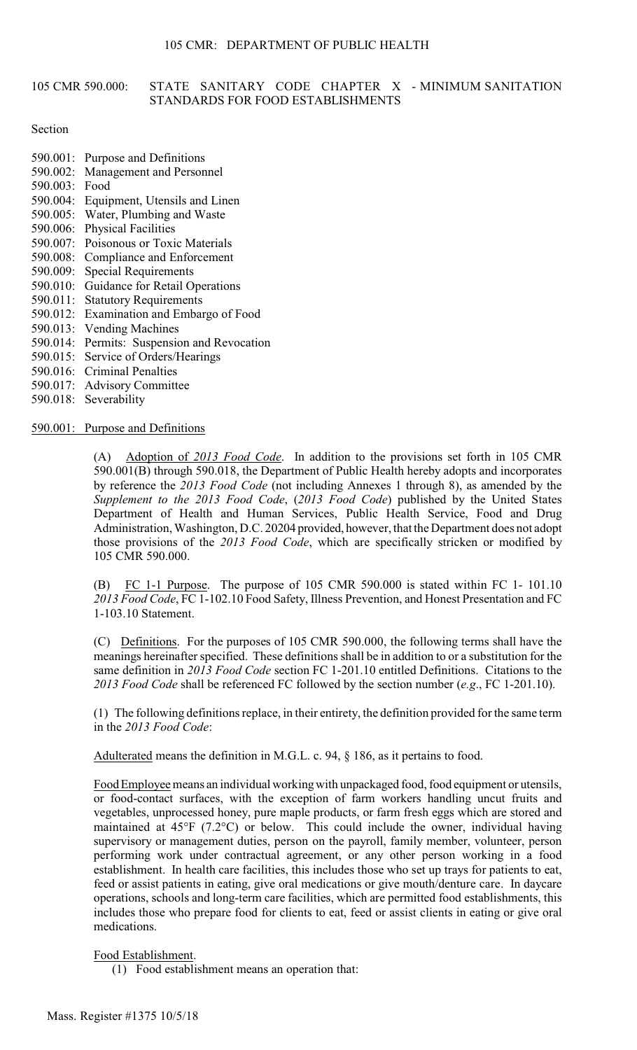#### 105 CMR 590,000: STATE SANITARY CODE CHAPTER X - MINIMUM SANITATION STANDARDS FOR FOOD ESTABLISHMENTS

#### Section

- 590.001: Purpose and Definitions
- 590.002: Management and Personnel
- 590.003: Food
- 590.004: Equipment, Utensils and Linen
- 590.005: Water, Plumbing and Waste
- 590.006: Physical Facilities
- 590.007: Poisonous or Toxic Materials
- 590.008: Compliance and Enforcement
- 590.009: Special Requirements
- 590.010: Guidance for Retail Operations
- 590.011: Statutory Requirements
- 590.012: Examination and Embargo of Food
- 590.013: Vending Machines
- 590.014: Permits: Suspension and Revocation
- 590.015: Service of Orders/Hearings
- 590.016: Criminal Penalties
- 590.017: Advisory Committee
- 590.018: Severability

590.001: Purpose and Definitions

(A) Adoption of *2013 Food Code*. In addition to the provisions set forth in 105 CMR 590.001(B) through 590.018, the Department of Public Health hereby adopts and incorporates by reference the *2013 Food Code* (not including Annexes 1 through 8), as amended by the *Supplement to the 2013 Food Code*, (*2013 Food Code*) published by the United States Department of Health and Human Services, Public Health Service, Food and Drug Administration, Washington, D.C. 20204 provided, however, that the Department does not adopt those provisions of the *2013 Food Code*, which are specifically stricken or modified by 105 CMR 590.000.

(B) FC 1-1 Purpose. The purpose of 105 CMR 590.000 is stated within FC 1- 101.10 *2013 Food Code*, FC [1-102.10](https://1-102.10) Food Safety, Illness Prevention, and Honest Presentation and FC [1-103.10](https://1-103.10) Statement.

 (C) Definitions. For the purposes of 105 CMR 590.000, the following terms shall have the meanings hereinafter specified. These definitions shall be in addition to or a substitution for the same definition in *2013 Food Code* section FC [1-201.10](https://1-201.10) entitled Definitions. Citations to the *2013 Food Code* shall be referenced FC followed by the section number (*e.g*., FC [1-201.10\)](https://1-201.10).

(1) The following definitions replace, in their entirety, the definition provided for the same term in the *2013 Food Code*:

Adulterated means the definition in M.G.L. c. 94, § 186, as it pertains to food.

 establishment. In health care facilities, this includes those who set up trays for patients to eat, operations, schools and long-term care facilities, which are permitted food establishments, this Food Employee means an individual working with unpackaged food, food equipment or utensils, or food-contact surfaces, with the exception of farm workers handling uncut fruits and vegetables, unprocessed honey, pure maple products, or farm fresh eggs which are stored and maintained at 45°F (7.2°C) or below. This could include the owner, individual having supervisory or management duties, person on the payroll, family member, volunteer, person performing work under contractual agreement, or any other person working in a food feed or assist patients in eating, give oral medications or give mouth/denture care. In daycare includes those who prepare food for clients to eat, feed or assist clients in eating or give oral medications.

## Food Establishment.

(1) Food establishment means an operation that: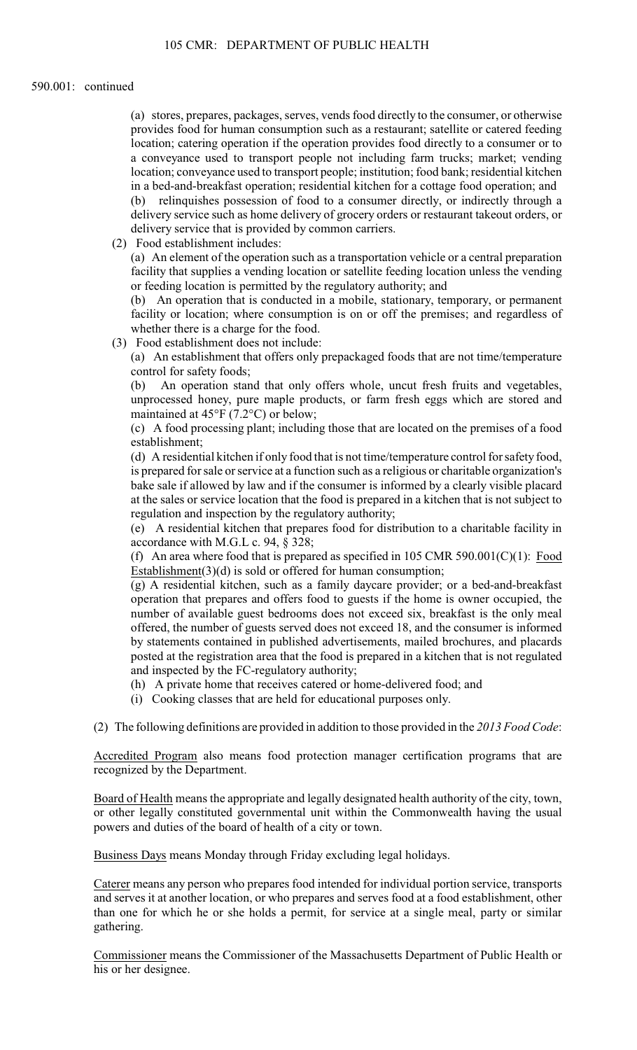(a) stores, prepares, packages, serves, vends food directly to the consumer, or otherwise provides food for human consumption such as a restaurant; satellite or catered feeding location; catering operation if the operation provides food directly to a consumer or to a conveyance used to transport people not including farm trucks; market; vending location; conveyance used to transport people; institution; food bank; residential kitchen in a bed-and-breakfast operation; residential kitchen for a cottage food operation; and

(b) relinquishes possession of food to a consumer directly, or indirectly through a delivery service such as home delivery of grocery orders or restaurant takeout orders, or delivery service that is provided by common carriers.

(2) Food establishment includes:

 (a) An element of the operation such as a transportation vehicle or a central preparation facility that supplies a vending location or satellite feeding location unless the vending or feeding location is permitted by the regulatory authority; and

 facility or location; where consumption is on or off the premises; and regardless of (b) An operation that is conducted in a mobile, stationary, temporary, or permanent whether there is a charge for the food.

(3) Food establishment does not include:

 (a) An establishment that offers only prepackaged foods that are not time/temperature control for safety foods;

(b) An operation stand that only offers whole, uncut fresh fruits and vegetables, unprocessed honey, pure maple products, or farm fresh eggs which are stored and maintained at 45°F (7.2°C) or below;

(c) A food processing plant; including those that are located on the premises of a food establishment;

 is prepared for sale or service at a function such as a religious or charitable organization's at the sales or service location that the food is prepared in a kitchen that is not subject to (d) A residential kitchen if only food that is not time/temperature control for safety food, bake sale if allowed by law and if the consumer is informed by a clearly visible placard regulation and inspection by the regulatory authority;

(e) A residential kitchen that prepares food for distribution to a charitable facility in accordance with M.G.L c. 94, § 328;

(f) An area where food that is prepared as specified in 105 CMR 590.001(C)(1): Food Establishment $(3)(d)$  is sold or offered for human consumption;

 operation that prepares and offers food to guests if the home is owner occupied, the (g) A residential kitchen, such as a family daycare provider; or a bed-and-breakfast number of available guest bedrooms does not exceed six, breakfast is the only meal offered, the number of guests served does not exceed 18, and the consumer is informed by statements contained in published advertisements, mailed brochures, and placards posted at the registration area that the food is prepared in a kitchen that is not regulated and inspected by the FC-regulatory authority;

- (h) A private home that receives catered or home-delivered food; and
- (i) Cooking classes that are held for educational purposes only.

(2) The following definitions are provided in addition to those provided in the *2013 Food Code*:

Accredited Program also means food protection manager certification programs that are recognized by the Department.

Board of Health means the appropriate and legally designated health authority of the city, town, or other legally constituted governmental unit within the Commonwealth having the usual powers and duties of the board of health of a city or town.

Business Days means Monday through Friday excluding legal holidays.

 Caterer means any person who prepares food intended for individual portion service, transports than one for which he or she holds a permit, for service at a single meal, party or similar and serves it at another location, or who prepares and serves food at a food establishment, other gathering.

Commissioner means the Commissioner of the Massachusetts Department of Public Health or his or her designee.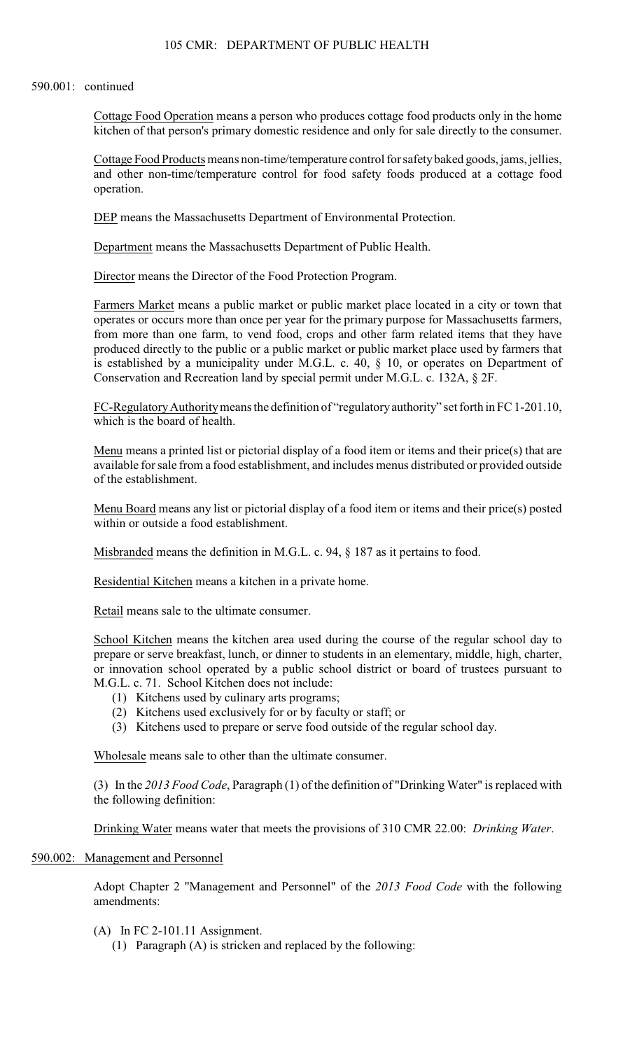Cottage Food Operation means a person who produces cottage food products only in the home kitchen of that person's primary domestic residence and only for sale directly to the consumer.

Cottage Food Products means non-time/temperature control for safety baked goods, jams, jellies, and other non-time/temperature control for food safety foods produced at a cottage food operation.

DEP means the Massachusetts Department of Environmental Protection.

Department means the Massachusetts Department of Public Health.

Director means the Director of the Food Protection Program.

 operates or occurs more than once per year for the primary purpose for Massachusetts farmers, produced directly to the public or a public market or public market place used by farmers that Farmers Market means a public market or public market place located in a city or town that from more than one farm, to vend food, crops and other farm related items that they have is established by a municipality under M.G.L. c. 40, § 10, or operates on Department of Conservation and Recreation land by special permit under M.G.L. c. 132A, § 2F.

FC-Regulatory Authority means the definition of "regulatory authority" set forth in FC [1-201.10](https://1-201.10), which is the board of health.

Menu means a printed list or pictorial display of a food item or items and their price(s) that are available for sale from a food establishment, and includes menus distributed or provided outside of the establishment.

Menu Board means any list or pictorial display of a food item or items and their price(s) posted within or outside a food establishment.

Misbranded means the definition in M.G.L. c. 94, § 187 as it pertains to food.

Residential Kitchen means a kitchen in a private home.

Retail means sale to the ultimate consumer.

School Kitchen means the kitchen area used during the course of the regular school day to prepare or serve breakfast, lunch, or dinner to students in an elementary, middle, high, charter, or innovation school operated by a public school district or board of trustees pursuant to M.G.L. c. 71. School Kitchen does not include:

- (1) Kitchens used by culinary arts programs;
- (2) Kitchens used exclusively for or by faculty or staff; or
- (3) Kitchens used to prepare or serve food outside of the regular school day.

Wholesale means sale to other than the ultimate consumer.

(3) In the *2013 Food Code*, Paragraph (1) of the definition of "Drinking Water" is replaced with the following definition:

Drinking Water means water that meets the provisions of 310 CMR 22.00: *Drinking Water*.

## 590.002: Management and Personnel

Adopt Chapter 2 "Management and Personnel" of the *2013 Food Code* with the following amendments:

- (A) In FC [2-101.11](https://2-101.11) Assignment.
	- (1) Paragraph (A) is stricken and replaced by the following: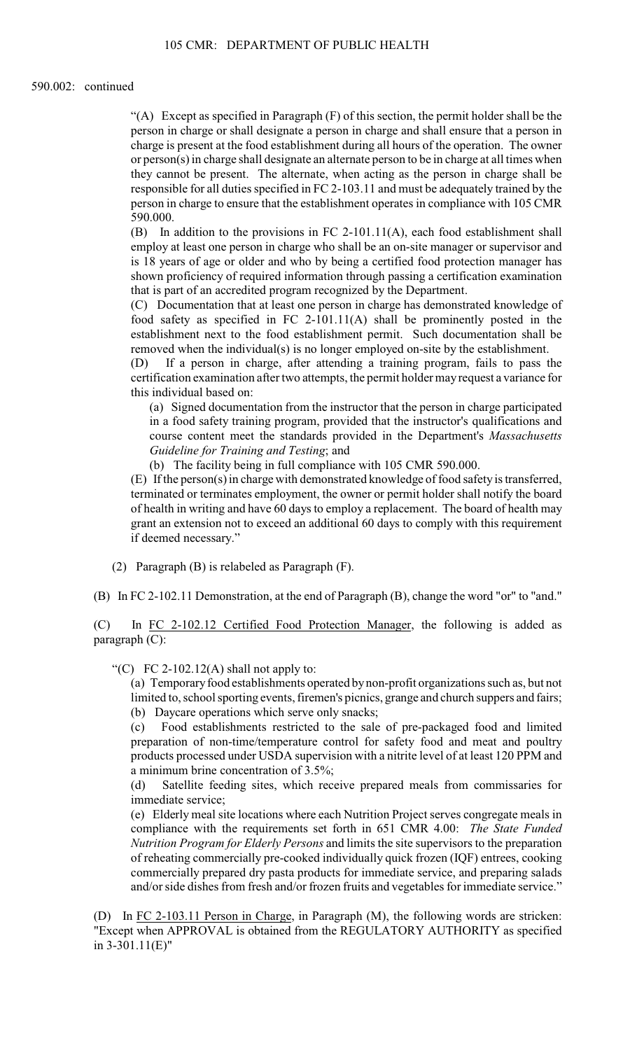person in charge or shall designate a person in charge and shall ensure that a person in "(A) Except as specified in Paragraph (F) of this section, the permit holder shall be the charge is present at the food establishment during all hours of the operation. The owner or person(s) in charge shall designate an alternate person to be in charge at all times when they cannot be present. The alternate, when acting as the person in charge shall be responsible for all duties specified in FC [2-103.11](https://2-103.11) and must be adequately trained by the person in charge to ensure that the establishment operates in compliance with 105 CMR 590.000.

(B) In addition to the provisions in FC 2-101.11(A), each food establishment shall employ at least one person in charge who shall be an on-site manager or supervisor and is 18 years of age or older and who by being a certified food protection manager has shown proficiency of required information through passing a certification examination that is part of an accredited program recognized by the Department.

(C) Documentation that at least one person in charge has demonstrated knowledge of food safety as specified in FC 2-101.11(A) shall be prominently posted in the establishment next to the food establishment permit. Such documentation shall be removed when the individual(s) is no longer employed on-site by the establishment.

 (D) If a person in charge, after attending a training program, fails to pass the certification examination after two attempts, the permit holder mayrequest a variance for this individual based on:

(a) Signed documentation from the instructor that the person in charge participated in a food safety training program, provided that the instructor's qualifications and course content meet the standards provided in the Department's *Massachusetts Guideline for Training and Testing*; and

(b) The facility being in full compliance with 105 CMR 590.000.

(E) If the person(s) in charge with demonstrated knowledge of food safety is transferred, terminated or terminates employment, the owner or permit holder shall notify the board of health in writing and have 60 days to employ a replacement. The board of health may grant an extension not to exceed an additional 60 days to comply with this requirement if deemed necessary."

- (2) Paragraph (B) is relabeled as Paragraph (F).
- (B) In FC [2-102.11](https://2-102.11) Demonstration, at the end of Paragraph (B), change the word "or" to "and."

(C) In FC [2-102.12](https://2-102.12) Certified Food Protection Manager, the following is added as paragraph (C):

"(C) FC 2-102.12(A) shall not apply to:

 (a) Temporaryfood establishments operated bynon-profit organizations such as, but not limited to, school sporting events, firemen's picnics, grange and church suppers and fairs; (b) Daycare operations which serve only snacks;

(c) Food establishments restricted to the sale of pre-packaged food and limited preparation of non-time/temperature control for safety food and meat and poultry products processed under USDA supervision with a nitrite level of at least 120 PPM and a minimum brine concentration of 3.5%;

(d) Satellite feeding sites, which receive prepared meals from commissaries for immediate service;

 (e) Elderly meal site locations where each Nutrition Project serves congregate meals in compliance with the requirements set forth in 651 CMR 4.00: *The State Funded Nutrition Program for Elderly Persons* and limits the site supervisors to the preparation of reheating commercially pre-cooked individually quick frozen (IQF) entrees, cooking commercially prepared dry pasta products for immediate service, and preparing salads and/or side dishes from fresh and/or frozen fruits and vegetables for immediate service."

(D) In FC [2-103.11](https://2-103.11) Person in Charge, in Paragraph (M), the following words are stricken: "Except when APPROVAL is obtained from the REGULATORY AUTHORITY as specified in 3-301.11(E)"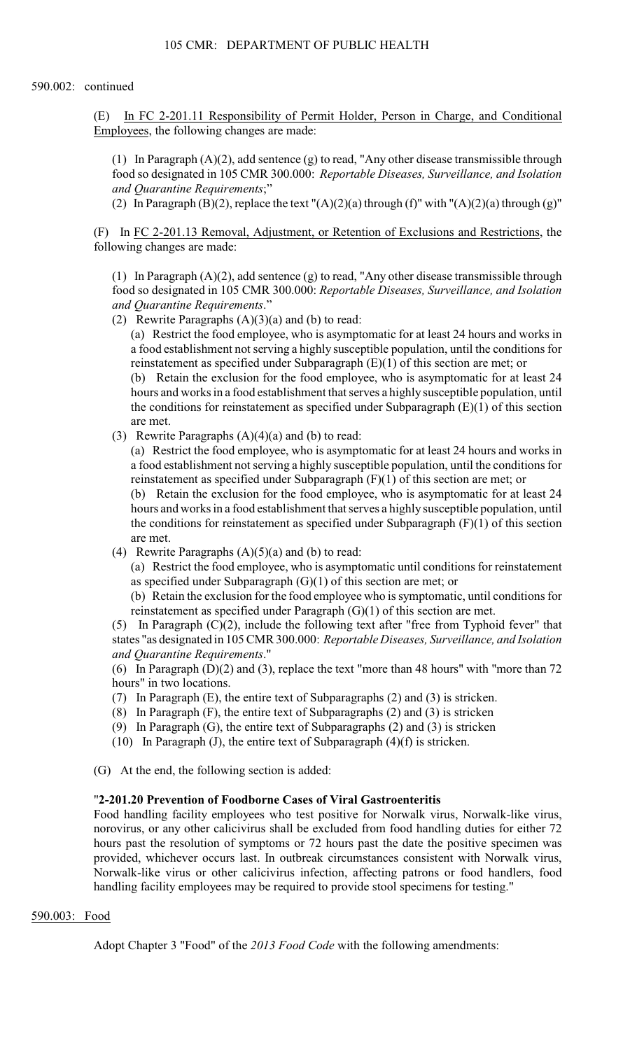(E) In FC [2-201.11](https://2-201.11) Responsibility of Permit Holder, Person in Charge, and Conditional Employees, the following changes are made:

 (1) In Paragraph (A)(2), add sentence (g) to read, "Any other disease transmissible through food so designated in 105 CMR 300.000: *Reportable Diseases, Surveillance, and Isolation and Quarantine Requirements*;"

(2) In Paragraph (B)(2), replace the text " $(A)(2)(a)$  through (f)" with " $(A)(2)(a)$  through (g)"

(F) In FC [2-201.13](https://2-201.13) Removal, Adjustment, or Retention of Exclusions and Restrictions, the following changes are made:

 (1) In Paragraph (A)(2), add sentence (g) to read, "Any other disease transmissible through food so designated in 105 CMR 300.000: *Reportable Diseases, Surveillance, and Isolation and Quarantine Requirements*."

(2) Rewrite Paragraphs  $(A)(3)(a)$  and  $(b)$  to read:

 a food establishment not serving a highly susceptible population, until the conditions for (a) Restrict the food employee, who is asymptomatic for at least 24 hours and works in reinstatement as specified under Subparagraph (E)(1) of this section are met; or

 hours and works in a food establishment that serves a highly susceptible population, until (b) Retain the exclusion for the food employee, who is asymptomatic for at least 24 the conditions for reinstatement as specified under Subparagraph (E)(1) of this section are met.

(3) Rewrite Paragraphs  $(A)(4)(a)$  and  $(b)$  to read:

 (a) Restrict the food employee, who is asymptomatic for at least 24 hours and works in a food establishment not serving a highly susceptible population, until the conditions for reinstatement as specified under Subparagraph (F)(1) of this section are met; or

(b) Retain the exclusion for the food employee, who is asymptomatic for at least 24 hours and works in a food establishment that serves a highly susceptible population, until the conditions for reinstatement as specified under Subparagraph  $(F)(1)$  of this section are met.

(4) Rewrite Paragraphs  $(A)(5)(a)$  and  $(b)$  to read:

 (a) Restrict the food employee, who is asymptomatic until conditions for reinstatement as specified under Subparagraph (G)(1) of this section are met; or

(b) Retain the exclusion for the food employee who is symptomatic, until conditions for reinstatement as specified under Paragraph (G)(1) of this section are met.

(5) In Paragraph (C)(2), include the following text after "free from Typhoid fever" that states "as designated in 105 CMR 300.000: *Reportable Diseases, Surveillance, and Isolation and Quarantine Requirements*."

(6) In Paragraph (D)(2) and (3), replace the text "more than 48 hours" with "more than 72 hours" in two locations.

- (7) In Paragraph (E), the entire text of Subparagraphs (2) and (3) is stricken.
- (8) In Paragraph (F), the entire text of Subparagraphs (2) and (3) is stricken
- (9) In Paragraph (G), the entire text of Subparagraphs (2) and (3) is stricken
- (10) In Paragraph (J), the entire text of Subparagraph  $(4)(f)$  is stricken.

(G) At the end, the following section is added:

### "**[2-201.20](https://2-201.20) Prevention of Foodborne Cases of Viral Gastroenteritis**

Food handling facility employees who test positive for Norwalk virus, Norwalk-like virus, norovirus, or any other calicivirus shall be excluded from food handling duties for either 72 hours past the resolution of symptoms or 72 hours past the date the positive specimen was provided, whichever occurs last. In outbreak circumstances consistent with Norwalk virus, Norwalk-like virus or other calicivirus infection, affecting patrons or food handlers, food handling facility employees may be required to provide stool specimens for testing."

### 590.003: Food

Adopt Chapter 3 "Food" of the *2013 Food Code* with the following amendments: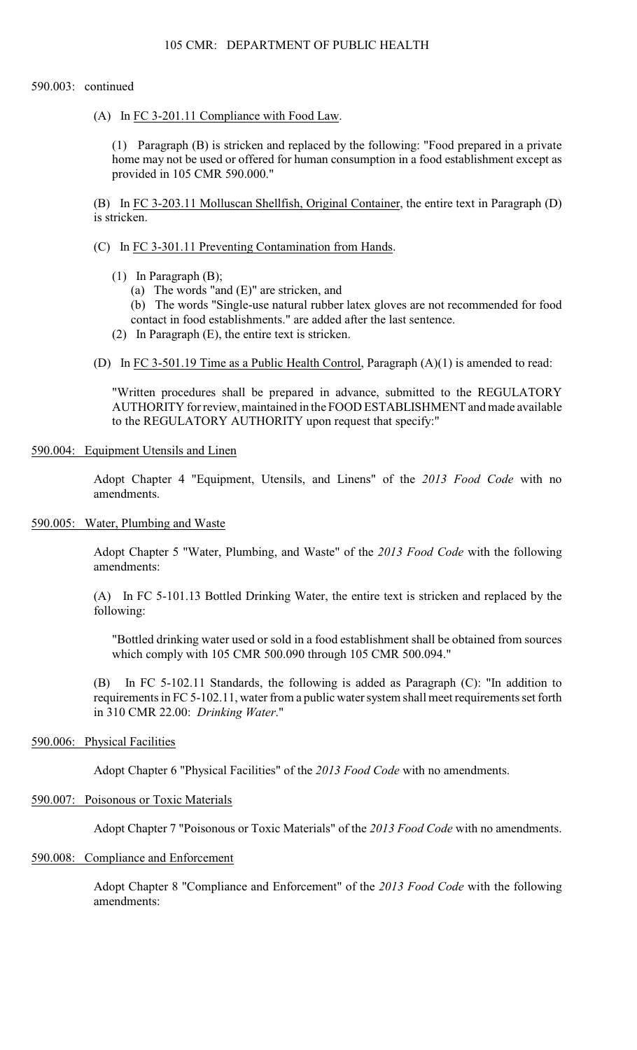(A) In FC [3-201.11](https://3-201.11) Compliance with Food Law.

(1) Paragraph (B) is stricken and replaced by the following: "Food prepared in a private home may not be used or offered for human consumption in a food establishment except as provided in 105 CMR 590.000."

(B) In FC [3-203.11](https://3-203.11) Molluscan Shellfish, Original Container, the entire text in Paragraph (D) is stricken.

### (C) In FC [3-301.11](https://3-301.11) Preventing Contamination from Hands.

- (1) In Paragraph (B);
	- (a) The words "and (E)" are stricken, and

(b) The words "Single-use natural rubber latex gloves are not recommended for food contact in food establishments." are added after the last sentence.

- (2) In Paragraph (E), the entire text is stricken.
- (D) In FC [3-501.19](https://3-501.19) Time as a Public Health Control, Paragraph (A)(1) is amended to read:

"Written procedures shall be prepared in advance, submitted to the REGULATORY AUTHORITY for review, maintained in the FOOD ESTABLISHMENT and made available to the REGULATORY AUTHORITY upon request that specify:"

### 590.004: Equipment Utensils and Linen

Adopt Chapter 4 "Equipment, Utensils, and Linens" of the *2013 Food Code* with no amendments.

### 590.005: Water, Plumbing and Waste

Adopt Chapter 5 "Water, Plumbing, and Waste" of the *2013 Food Code* with the following amendments:

(A) In FC [5-101.13](https://5-101.13) Bottled Drinking Water, the entire text is stricken and replaced by the following:

 "Bottled drinking water used or sold in a food establishment shall be obtained from sources which comply with 105 CMR 500.090 through 105 CMR 500.094."

(B) In FC [5-102.11](https://5-102.11) Standards, the following is added as Paragraph (C): "In addition to requirements in FC [5-102.11,](https://5-102.11) water from a public water system shall meet requirements set forth in 310 CMR 22.00: *Drinking Water*."

### 590.006: Physical Facilities

Adopt Chapter 6 "Physical Facilities" of the *2013 Food Code* with no amendments.

#### 590.007: Poisonous or Toxic Materials

Adopt Chapter 7 "Poisonous or Toxic Materials" of the *2013 Food Code* with no amendments.

### 590.008: Compliance and Enforcement

Adopt Chapter 8 "Compliance and Enforcement" of the *2013 Food Code* with the following amendments: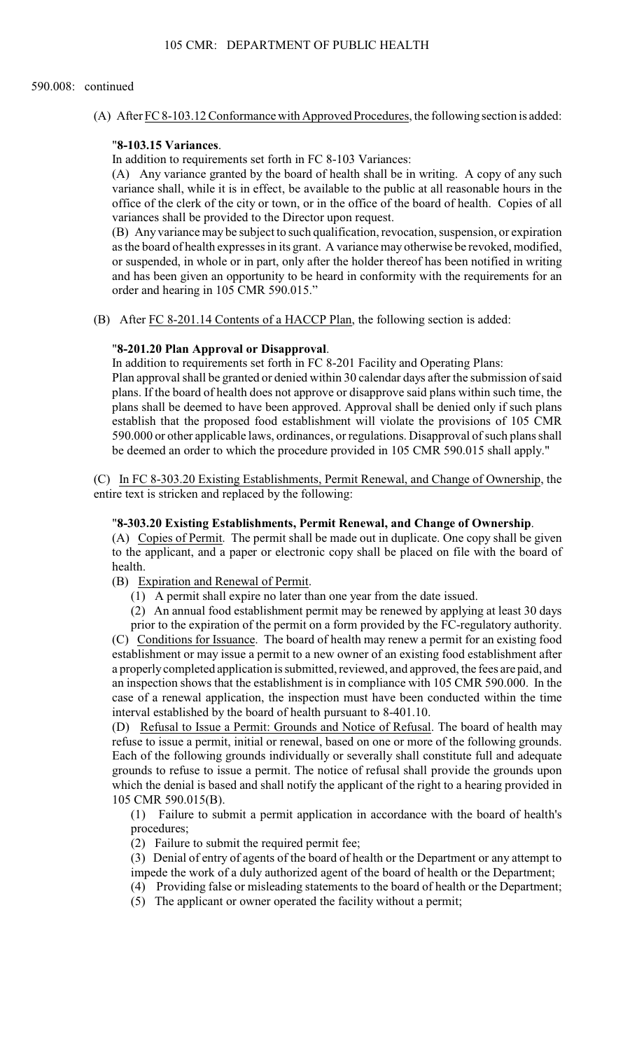(A) After FC [8-103.12](https://8-103.12) Conformance with Approved Procedures, the following section is added:

### "**[8-103.15](https://8-103.15) Variances**.

In addition to requirements set forth in FC 8-103 Variances:

(A) Any variance granted by the board of health shall be in writing. A copy of any such variance shall, while it is in effect, be available to the public at all reasonable hours in the office of the clerk of the city or town, or in the office of the board of health. Copies of all variances shall be provided to the Director upon request.

(B) Any variance may be subject to such qualification, revocation, suspension, or expiration as the board of health expresses in its grant. A variance may otherwise be revoked, modified, or suspended, in whole or in part, only after the holder thereof has been notified in writing and has been given an opportunity to be heard in conformity with the requirements for an order and hearing in 105 CMR 590.015."

(B) After FC [8-201.14](https://8-201.14) Contents of a HACCP Plan, the following section is added:

#### "**[8-201.20](https://8-201.20) Plan Approval or Disapproval**.

 Plan approval shall be granted or denied within 30 calendar days after the submission of said In addition to requirements set forth in FC 8-201 Facility and Operating Plans:

 590.000 or other applicable laws, ordinances, or regulations. Disapproval of such plans shall plans. If the board of health does not approve or disapprove said plans within such time, the plans shall be deemed to have been approved. Approval shall be denied only if such plans establish that the proposed food establishment will violate the provisions of 105 CMR be deemed an order to which the procedure provided in 105 CMR 590.015 shall apply."

(C) In FC [8-303.20](https://8-303.20) Existing Establishments, Permit Renewal, and Change of Ownership, the entire text is stricken and replaced by the following:

### "**[8-303.20](https://8-303.20) Existing Establishments, Permit Renewal, and Change of Ownership**.

(A) Copies of Permit. The permit shall be made out in duplicate. One copy shall be given to the applicant, and a paper or electronic copy shall be placed on file with the board of health.

(B) Expiration and Renewal of Permit.

(1) A permit shall expire no later than one year from the date issued.

(2) An annual food establishment permit may be renewed by applying at least 30 days

 prior to the expiration of the permit on a form provided by the FC-regulatory authority. (C) Conditions for Issuance. The board of health may renew a permit for an existing food establishment or may issue a permit to a new owner of an existing food establishment after a properly completed application is submitted, reviewed, and approved, the fees are paid, and an inspection shows that the establishment is in compliance with 105 CMR 590.000. In the case of a renewal application, the inspection must have been conducted within the time interval established by the board of health pursuant to [8-401.10](https://8-401.10).

 refuse to issue a permit, initial or renewal, based on one or more of the following grounds. which the denial is based and shall notify the applicant of the right to a hearing provided in (D) Refusal to Issue a Permit: Grounds and Notice of Refusal. The board of health may Each of the following grounds individually or severally shall constitute full and adequate grounds to refuse to issue a permit. The notice of refusal shall provide the grounds upon 105 CMR 590.015(B).

(1) Failure to submit a permit application in accordance with the board of health's procedures;

(2) Failure to submit the required permit fee;

(3) Denial of entry of agents of the board of health or the Department or any attempt to

- impede the work of a duly authorized agent of the board of health or the Department; (4) Providing false or misleading statements to the board of health or the Department;
- (5) The applicant or owner operated the facility without a permit;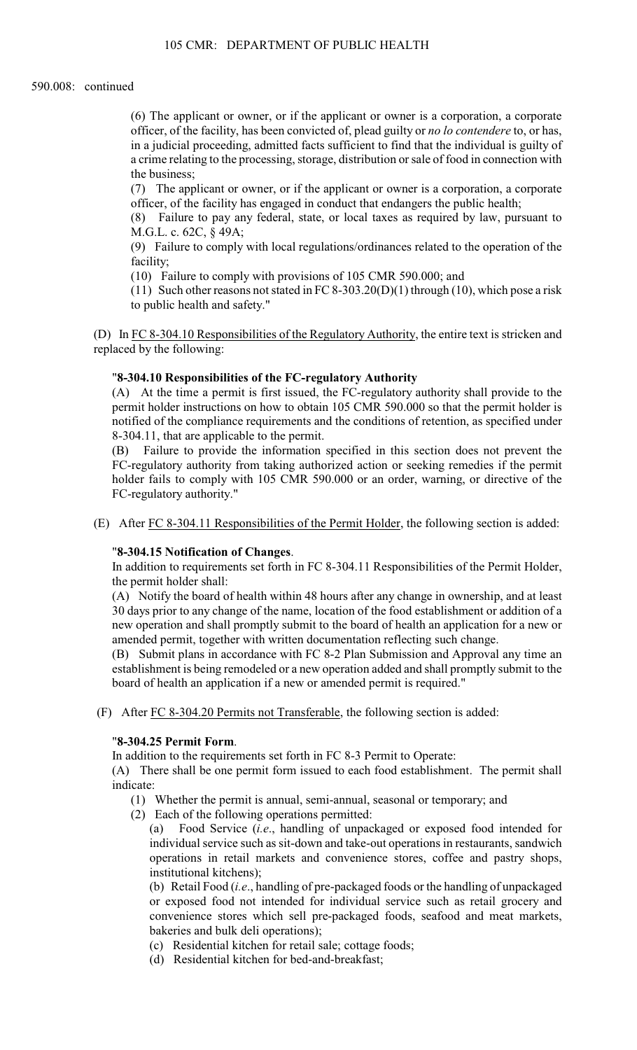a crime relating to the processing, storage, distribution or sale of food in connection with (6) The applicant or owner, or if the applicant or owner is a corporation, a corporate officer, of the facility, has been convicted of, plead guilty or *no lo contendere* to, or has, in a judicial proceeding, admitted facts sufficient to find that the individual is guilty of the business;

(7) The applicant or owner, or if the applicant or owner is a corporation, a corporate officer, of the facility has engaged in conduct that endangers the public health;

(8) Failure to pay any federal, state, or local taxes as required by law, pursuant to M.G.L. c. 62C, § 49A;

(9) Failure to comply with local regulations/ordinances related to the operation of the facility;

(10) Failure to comply with provisions of 105 CMR 590.000; and

(11) Such other reasons not stated in FC 8-303.20(D)(1) through (10), which pose a risk to public health and safety."

(D) In FC [8-304.10](https://8-304.10) Responsibilities of the Regulatory Authority, the entire text is stricken and replaced by the following:

### "**[8-304.10](https://8-304.10) Responsibilities of the FC-regulatory Authority**

(A) At the time a permit is first issued, the FC-regulatory authority shall provide to the permit holder instructions on how to obtain 105 CMR 590.000 so that the permit holder is notified of the compliance requirements and the conditions of retention, as specified under [8-304.11,](https://8-304.11) that are applicable to the permit.

 (B) Failure to provide the information specified in this section does not prevent the holder fails to comply with 105 CMR 590.000 or an order, warning, or directive of the FC-regulatory authority from taking authorized action or seeking remedies if the permit FC-regulatory authority."

(E) After FC [8-304.11](https://8-304.11) Responsibilities of the Permit Holder, the following section is added:

### "**[8-304.15](https://8-304.15) Notification of Changes**.

In addition to requirements set forth in FC [8-304.11](https://8-304.11) Responsibilities of the Permit Holder, the permit holder shall:

(A) Notify the board of health within 48 hours after any change in ownership, and at least 30 days prior to any change of the name, location of the food establishment or addition of a new operation and shall promptly submit to the board of health an application for a new or amended permit, together with written documentation reflecting such change.

 (B) Submit plans in accordance with FC 8-2 Plan Submission and Approval any time an establishment is being remodeled or a new operation added and shall promptly submit to the board of health an application if a new or amended permit is required."

(F) After FC [8-304.20](https://8-304.20) Permits not Transferable, the following section is added:

#### "**[8-304.25](https://8-304.25) Permit Form**.

In addition to the requirements set forth in FC 8-3 Permit to Operate:

(A) There shall be one permit form issued to each food establishment. The permit shall indicate:

- (1) Whether the permit is annual, semi-annual, seasonal or temporary; and
- (2) Each of the following operations permitted:

(a) Food Service (*i.e*., handling of unpackaged or exposed food intended for individual service such as sit-down and take-out operations in restaurants, sandwich operations in retail markets and convenience stores, coffee and pastry shops, institutional kitchens);

 (b) Retail Food (*i.e*., handling of pre-packaged foods or the handling of unpackaged or exposed food not intended for individual service such as retail grocery and convenience stores which sell pre-packaged foods, seafood and meat markets, bakeries and bulk deli operations);

- (c) Residential kitchen for retail sale; cottage foods;
- (d) Residential kitchen for bed-and-breakfast;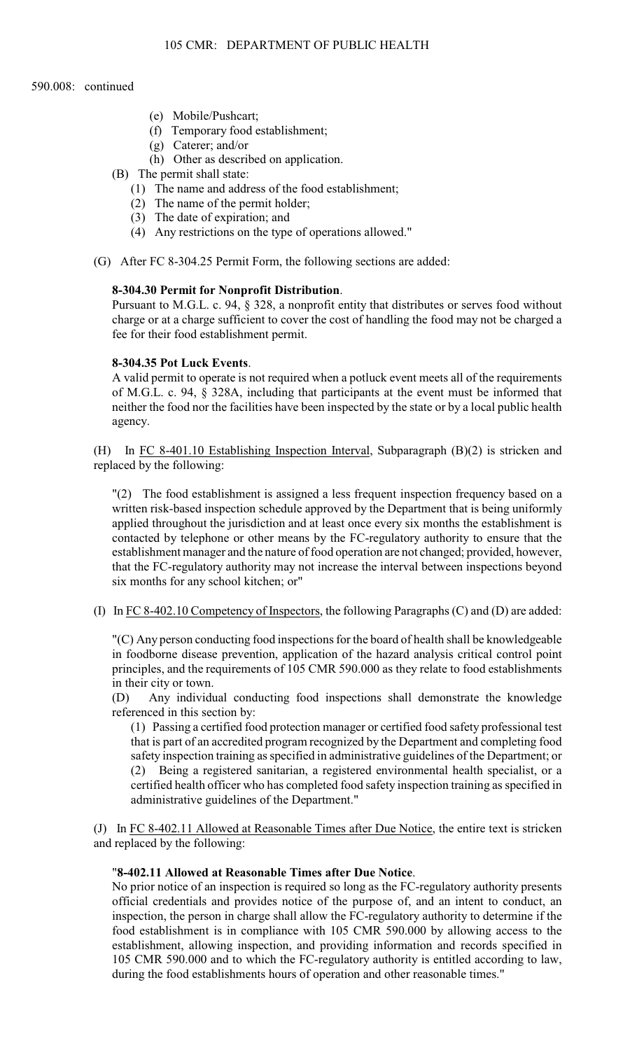- (e) Mobile/Pushcart;
- (f) Temporary food establishment;
- (g) Caterer; and/or
- (h) Other as described on application.
- (B) The permit shall state:
	- (1) The name and address of the food establishment;
	- (2) The name of the permit holder;
	- (3) The date of expiration; and
	- (4) Any restrictions on the type of operations allowed."
- (G) After FC [8-304.25](https://8-304.25) Permit Form, the following sections are added:

### **[8-304.30](https://8-304.30) Permit for Nonprofit Distribution**.

Pursuant to M.G.L. c. 94, § 328, a nonprofit entity that distributes or serves food without charge or at a charge sufficient to cover the cost of handling the food may not be charged a fee for their food establishment permit.

#### **[8-304.35](https://8-304.35) Pot Luck Events**.

 neither the food nor the facilities have been inspected by the state or by a local public health A valid permit to operate is not required when a potluck event meets all of the requirements of M.G.L. c. 94, § 328A, including that participants at the event must be informed that agency.

(H) In FC [8-401.10](https://8-401.10) Establishing Inspection Interval, Subparagraph (B)(2) is stricken and replaced by the following:

"(2) The food establishment is assigned a less frequent inspection frequency based on a written risk-based inspection schedule approved by the Department that is being uniformly applied throughout the jurisdiction and at least once every six months the establishment is contacted by telephone or other means by the FC-regulatory authority to ensure that the establishment manager and the nature of food operation are not changed; provided, however, that the FC-regulatory authority may not increase the interval between inspections beyond six months for any school kitchen; or"

(I) In FC [8-402.10](https://8-402.10) Competency of Inspectors, the following Paragraphs (C) and (D) are added:

 "(C) Any person conducting food inspections for the board of health shall be knowledgeable principles, and the requirements of 105 CMR 590.000 as they relate to food establishments in foodborne disease prevention, application of the hazard analysis critical control point in their city or town.

(D) Any individual conducting food inspections shall demonstrate the knowledge referenced in this section by:

(1) Passing a certified food protection manager or certified food safety professional test that is part of an accredited program recognized by the Department and completing food safety inspection training as specified in administrative guidelines of the Department; or (2) Being a registered sanitarian, a registered environmental health specialist, or a certified health officer who has completed food safety inspection training as specified in administrative guidelines of the Department."

(J) In FC [8-402.11](https://8-402.11) Allowed at Reasonable Times after Due Notice, the entire text is stricken and replaced by the following:

### "**[8-402.11](https://8-402.11) Allowed at Reasonable Times after Due Notice**.

No prior notice of an inspection is required so long as the FC-regulatory authority presents official credentials and provides notice of the purpose of, and an intent to conduct, an inspection, the person in charge shall allow the FC-regulatory authority to determine if the food establishment is in compliance with 105 CMR 590.000 by allowing access to the establishment, allowing inspection, and providing information and records specified in 105 CMR 590.000 and to which the FC-regulatory authority is entitled according to law, during the food establishments hours of operation and other reasonable times."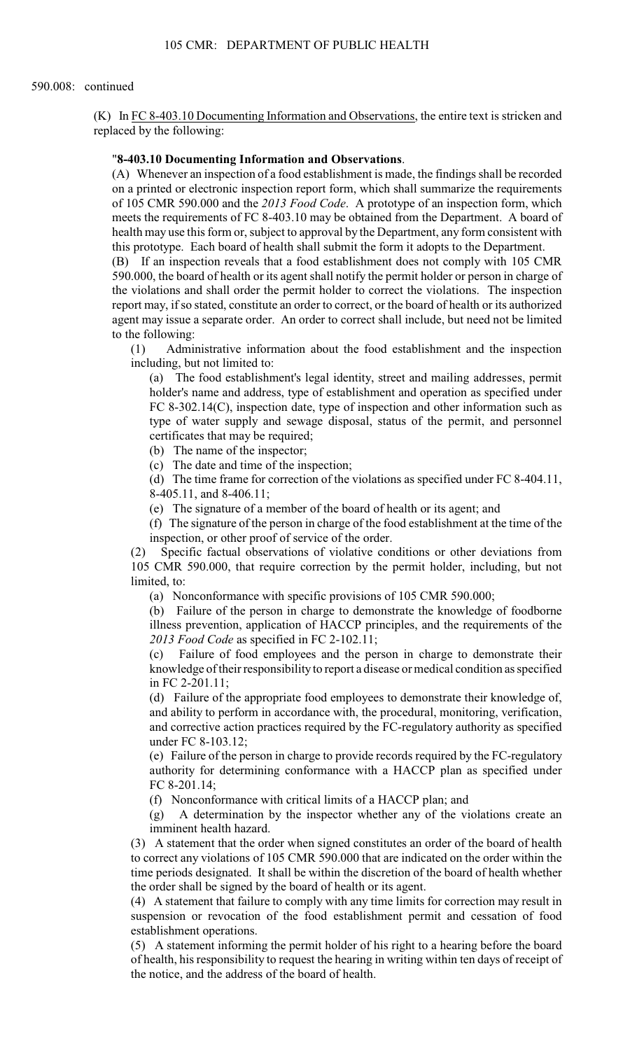(K) In FC [8-403.10](https://8-403.10) Documenting Information and Observations, the entire text is stricken and replaced by the following:

### "**[8-403.10](https://8-403.10) Documenting Information and Observations**.

(A) Whenever an inspection of a food establishment is made, the findings shall be recorded on a printed or electronic inspection report form, which shall summarize the requirements of 105 CMR 590.000 and the *2013 Food Code*. A prototype of an inspection form, which meets the requirements of FC [8-403.10](https://8-403.10) may be obtained from the Department. A board of health may use this form or, subject to approval by the Department, any form consistent with this prototype. Each board of health shall submit the form it adopts to the Department.

(B) If an inspection reveals that a food establishment does not comply with 105 CMR 590.000, the board of health or its agent shall notify the permit holder or person in charge of the violations and shall order the permit holder to correct the violations. The inspection report may, if so stated, constitute an order to correct, or the board of health or its authorized agent may issue a separate order. An order to correct shall include, but need not be limited to the following:

(1) Administrative information about the food establishment and the inspection including, but not limited to:

(a) The food establishment's legal identity, street and mailing addresses, permit holder's name and address, type of establishment and operation as specified under FC 8-302.14(C), inspection date, type of inspection and other information such as type of water supply and sewage disposal, status of the permit, and personnel certificates that may be required;

(b) The name of the inspector;

(c) The date and time of the inspection;

(d) The time frame for correction of the violations as specified under FC [8-404.11,](https://8-404.11) [8-405.11,](https://8-405.11) and [8-406.11;](https://8-406.11)

(e) The signature of a member of the board of health or its agent; and

 (f) The signature of the person in charge of the food establishment at the time of the inspection, or other proof of service of the order.

 (2) Specific factual observations of violative conditions or other deviations from 105 CMR 590.000, that require correction by the permit holder, including, but not limited, to:

(a) Nonconformance with specific provisions of 105 CMR 590.000;

(b) Failure of the person in charge to demonstrate the knowledge of foodborne illness prevention, application of HACCP principles, and the requirements of the *2013 Food Code* as specified in FC [2-102.11;](https://2-102.11)

 (c) Failure of food employees and the person in charge to demonstrate their knowledge of their responsibility to report a disease or medical condition as specified in FC [2-201.11;](https://2-201.11)

(d) Failure of the appropriate food employees to demonstrate their knowledge of, and ability to perform in accordance with, the procedural, monitoring, verification, and corrective action practices required by the FC-regulatory authority as specified under FC [8-103.12;](https://8-103.12)

 authority for determining conformance with a HACCP plan as specified under (e) Failure of the person in charge to provide records required by the FC-regulatory FC [8-201.14](https://8-201.14);

(f) Nonconformance with critical limits of a HACCP plan; and

(g) A determination by the inspector whether any of the violations create an imminent health hazard.

(3) A statement that the order when signed constitutes an order of the board of health to correct any violations of 105 CMR 590.000 that are indicated on the order within the time periods designated. It shall be within the discretion of the board of health whether the order shall be signed by the board of health or its agent.

 (4) A statement that failure to comply with any time limits for correction may result in suspension or revocation of the food establishment permit and cessation of food establishment operations.

 of health, his responsibility to request the hearing in writing within ten days of receipt of (5) A statement informing the permit holder of his right to a hearing before the board the notice, and the address of the board of health.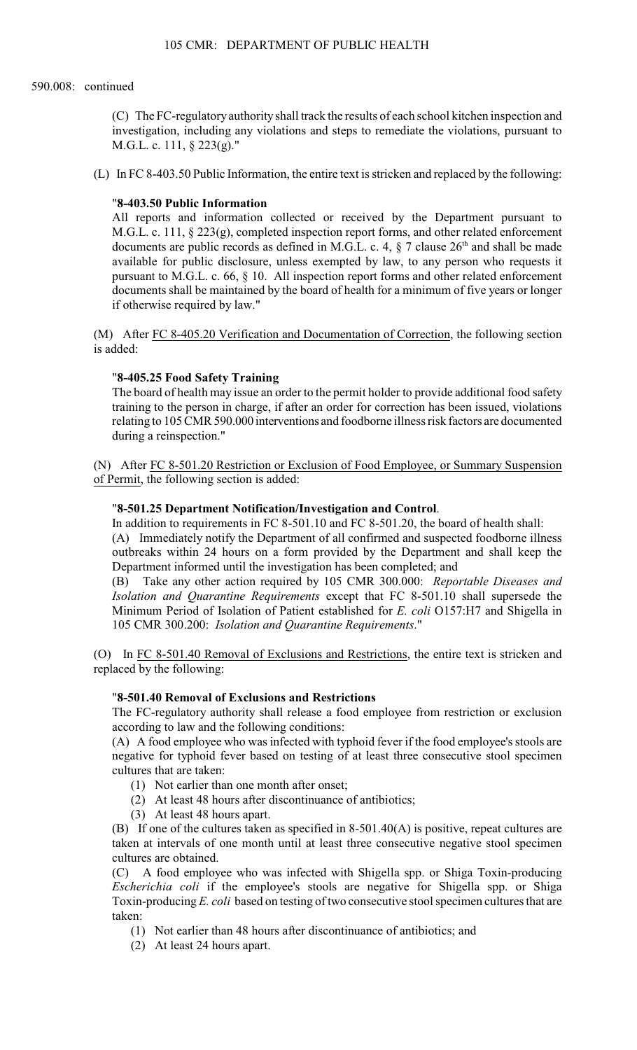(C) The FC-regulatory authority shall track the results of each school kitchen inspection and investigation, including any violations and steps to remediate the violations, pursuant to M.G.L. c. 111, § 223(g)."

(L) In FC [8-403.50](https://8-403.50) Public Information, the entire text is stricken and replaced by the following:

### "**[8-403.50](https://8-403.50) Public Information**

documents are public records as defined in M.G.L. c. 4,  $\S$  7 clause  $26<sup>th</sup>$  and shall be made All reports and information collected or received by the Department pursuant to M.G.L. c. 111, § 223(g), completed inspection report forms, and other related enforcement available for public disclosure, unless exempted by law, to any person who requests it pursuant to M.G.L. c. 66, § 10. All inspection report forms and other related enforcement documents shall be maintained by the board of health for a minimum of five years or longer if otherwise required by law."

(M) After FC [8-405.20](https://8-405.20) Verification and Documentation of Correction, the following section is added:

### "**[8-405.25](https://8-405.25) Food Safety Training**

The board of health may issue an order to the permit holder to provide additional food safety training to the person in charge, if after an order for correction has been issued, violations relating to 105 CMR 590.000 interventions and foodborne illness risk factors are documented during a reinspection."

(N) After FC [8-501.20](https://8-501.20) Restriction or Exclusion of Food Employee, or Summary Suspension of Permit, the following section is added:

### "**[8-501.25](https://8-501.25) Department Notification/Investigation and Control**.

In addition to requirements in FC [8-501.10](https://8-501.10) and FC [8-501.20,](https://8-501.20) the board of health shall:

(A) Immediately notify the Department of all confirmed and suspected foodborne illness outbreaks within 24 hours on a form provided by the Department and shall keep the Department informed until the investigation has been completed; and

(B) Take any other action required by 105 CMR 300.000: *Reportable Diseases and Isolation and Quarantine Requirements* except that FC [8-501.10](https://8-501.10) shall supersede the Minimum Period of Isolation of Patient established for *E. coli* O157:H7 and Shigella in 105 CMR 300.200: *Isolation and Quarantine Requirements*."

 (O) In FC [8-501.40](https://8-501.40) Removal of Exclusions and Restrictions, the entire text is stricken and replaced by the following:

# "**[8-501.40](https://8-501.40) Removal of Exclusions and Restrictions**

The FC-regulatory authority shall release a food employee from restriction or exclusion according to law and the following conditions:

(A) A food employee who was infected with typhoid fever if the food employee's stools are negative for typhoid fever based on testing of at least three consecutive stool specimen cultures that are taken:

- (1) Not earlier than one month after onset;
- (2) At least 48 hours after discontinuance of antibiotics;
- (3) At least 48 hours apart.

(B) If one of the cultures taken as specified in 8-501.40(A) is positive, repeat cultures are taken at intervals of one month until at least three consecutive negative stool specimen cultures are obtained.

(C) A food employee who was infected with Shigella spp. or Shiga Toxin-producing *Escherichia coli* if the employee's stools are negative for Shigella spp. or Shiga Toxin-producing *E. coli* based on testing of two consecutive stool specimen cultures that are taken:

- (1) Not earlier than 48 hours after discontinuance of antibiotics; and
- (2) At least 24 hours apart.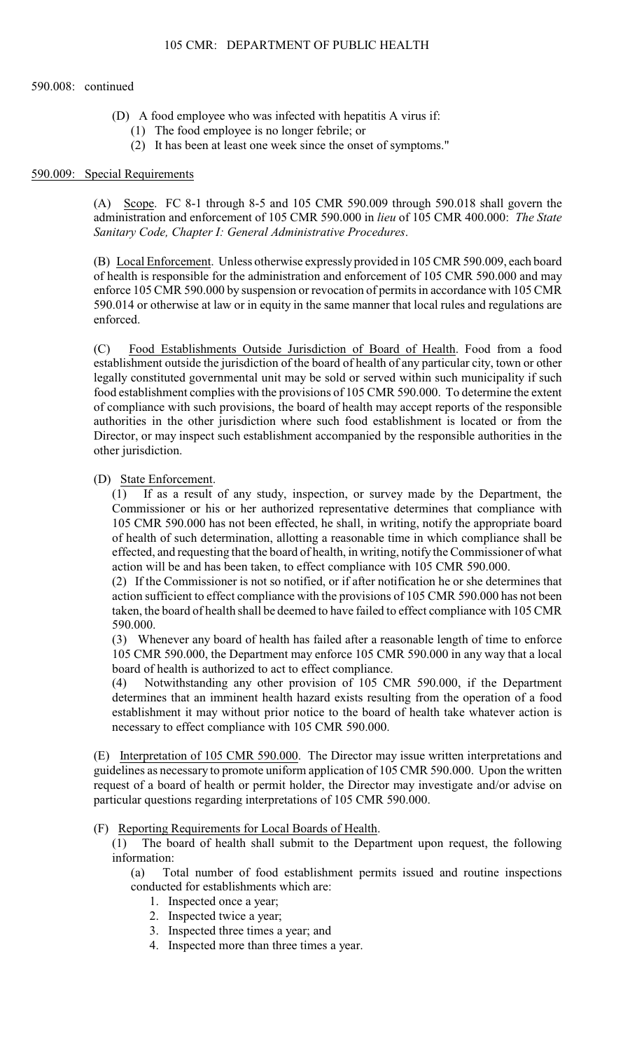- (D) A food employee who was infected with hepatitis A virus if:
	- (1) The food employee is no longer febrile; or
	- (2) It has been at least one week since the onset of symptoms."

#### 590.009: Special Requirements

 administration and enforcement of 105 CMR 590.000 in *lieu* of 105 CMR 400.000: *The State*  (A) Scope. FC 8-1 through 8-5 and 105 CMR 590.009 through 590.018 shall govern the *Sanitary Code, Chapter I: General Administrative Procedures*.

 enforce 105 CMR 590.000 by suspension or revocation of permits in accordance with 105 CMR 590.014 or otherwise at law or in equity in the same manner that local rules and regulations are (B) Local Enforcement. Unless otherwise expressly provided in 105 CMR 590.009, each board of health is responsible for the administration and enforcement of 105 CMR 590.000 and may enforced.

 authorities in the other jurisdiction where such food establishment is located or from the (C) Food Establishments Outside Jurisdiction of Board of Health. Food from a food establishment outside the jurisdiction of the board of health of any particular city, town or other legally constituted governmental unit may be sold or served within such municipality if such food establishment complies with the provisions of 105 CMR 590.000. To determine the extent of compliance with such provisions, the board of health may accept reports of the responsible Director, or may inspect such establishment accompanied by the responsible authorities in the other jurisdiction.

### (D) State Enforcement.

(1) If as a result of any study, inspection, or survey made by the Department, the Commissioner or his or her authorized representative determines that compliance with 105 CMR 590.000 has not been effected, he shall, in writing, notify the appropriate board of health of such determination, allotting a reasonable time in which compliance shall be effected, and requesting that the board of health, in writing, notify the Commissioner of what action will be and has been taken, to effect compliance with 105 CMR 590.000.

 taken, the board of health shall be deemed to have failed to effect compliance with 105 CMR (2) If the Commissioner is not so notified, or if after notification he or she determines that action sufficient to effect compliance with the provisions of 105 CMR 590.000 has not been 590.000.

(3) Whenever any board of health has failed after a reasonable length of time to enforce 105 CMR 590.000, the Department may enforce 105 CMR 590.000 in any way that a local board of health is authorized to act to effect compliance.

(4) Notwithstanding any other provision of 105 CMR 590.000, if the Department determines that an imminent health hazard exists resulting from the operation of a food establishment it may without prior notice to the board of health take whatever action is necessary to effect compliance with 105 CMR 590.000.

(E) Interpretation of 105 CMR 590.000. The Director may issue written interpretations and guidelines as necessary to promote uniform application of 105 CMR 590.000. Upon the written request of a board of health or permit holder, the Director may investigate and/or advise on particular questions regarding interpretations of 105 CMR 590.000.

### (F) Reporting Requirements for Local Boards of Health.

(1) The board of health shall submit to the Department upon request, the following information:

(a) Total number of food establishment permits issued and routine inspections conducted for establishments which are:

- 1. Inspected once a year;
- 2. Inspected twice a year;
- 3. Inspected three times a year; and
- 4. Inspected more than three times a year.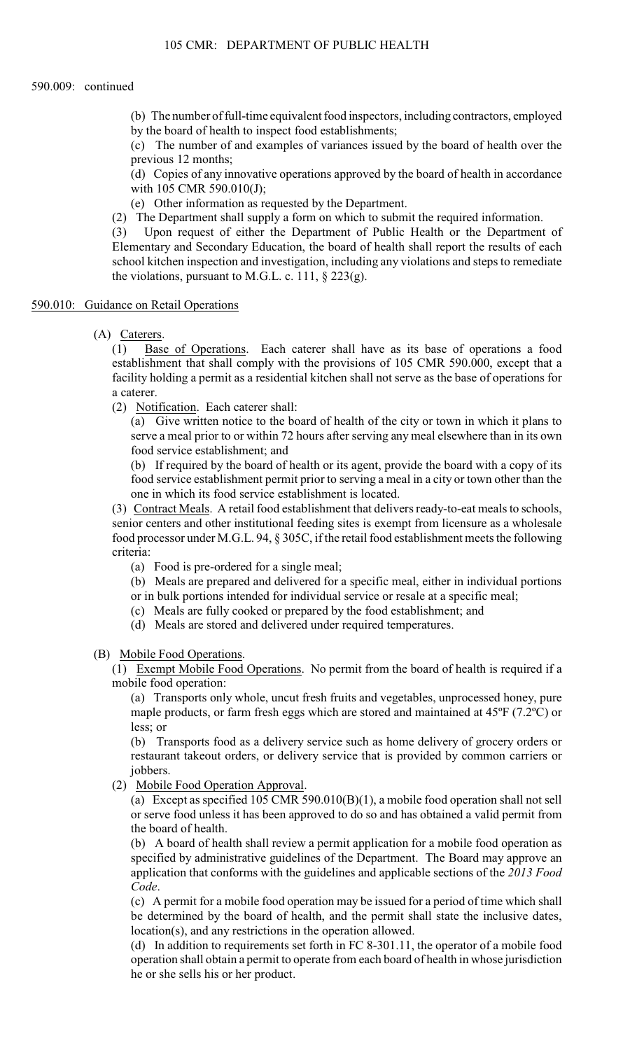(b) The number of full-time equivalent food inspectors, including contractors, employed by the board of health to inspect food establishments;

(c) The number of and examples of variances issued by the board of health over the previous 12 months;

(d) Copies of any innovative operations approved by the board of health in accordance with 105 CMR 590.010(J);

(e) Other information as requested by the Department.

(2) The Department shall supply a form on which to submit the required information.

 Elementary and Secondary Education, the board of health shall report the results of each school kitchen inspection and investigation, including any violations and steps to remediate (3) Upon request of either the Department of Public Health or the Department of the violations, pursuant to M.G.L. c. 111,  $\S$  223(g).

### 590.010: Guidance on Retail Operations

(A) Caterers.

(1) Base of Operations. Each caterer shall have as its base of operations a food establishment that shall comply with the provisions of 105 CMR 590.000, except that a facility holding a permit as a residential kitchen shall not serve as the base of operations for a caterer.

(2) Notification. Each caterer shall:

(a) Give written notice to the board of health of the city or town in which it plans to serve a meal prior to or within 72 hours after serving any meal elsewhere than in its own food service establishment; and

 (b) If required by the board of health or its agent, provide the board with a copy of its food service establishment permit prior to serving a meal in a city or town other than the one in which its food service establishment is located.

 (3) Contract Meals. A retail food establishment that delivers ready-to-eat meals to schools, senior centers and other institutional feeding sites is exempt from licensure as a wholesale food processor under M.G.L. 94, § 305C, if the retail food establishment meets the following criteria:

(a) Food is pre-ordered for a single meal;

 (b) Meals are prepared and delivered for a specific meal, either in individual portions or in bulk portions intended for individual service or resale at a specific meal;

- (c) Meals are fully cooked or prepared by the food establishment; and
- (d) Meals are stored and delivered under required temperatures.

(B) Mobile Food Operations.

(1) Exempt Mobile Food Operations. No permit from the board of health is required if a mobile food operation:

 (a) Transports only whole, uncut fresh fruits and vegetables, unprocessed honey, pure maple products, or farm fresh eggs which are stored and maintained at 45ºF (7.2ºC) or less; or

(b) Transports food as a delivery service such as home delivery of grocery orders or restaurant takeout orders, or delivery service that is provided by common carriers or jobbers.

(2) Mobile Food Operation Approval.

(a) Except as specified 105 CMR 590.010(B)(1), a mobile food operation shall not sell or serve food unless it has been approved to do so and has obtained a valid permit from the board of health.

(b) A board of health shall review a permit application for a mobile food operation as specified by administrative guidelines of the Department. The Board may approve an application that conforms with the guidelines and applicable sections of the *2013 Food Code*.

 (c) A permit for a mobile food operation may be issued for a period of time which shall be determined by the board of health, and the permit shall state the inclusive dates, location(s), and any restrictions in the operation allowed.

(d) In addition to requirements set forth in FC [8-301.11](https://8-301.11), the operator of a mobile food operation shall obtain a permit to operate from each board of health in whose jurisdiction he or she sells his or her product.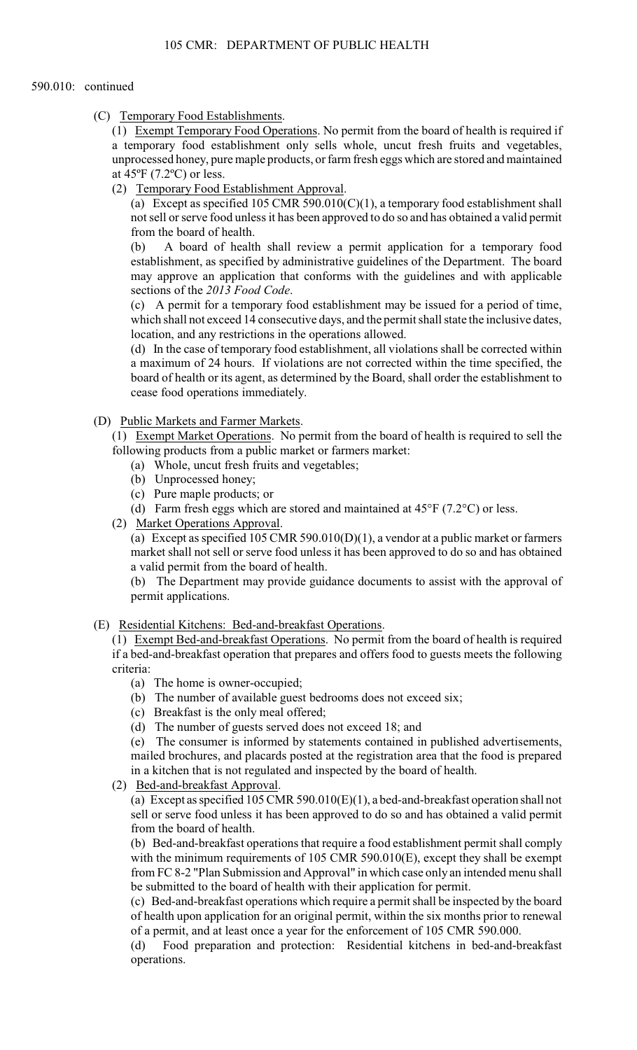(C) Temporary Food Establishments.

(1) Exempt Temporary Food Operations. No permit from the board of health is required if a temporary food establishment only sells whole, uncut fresh fruits and vegetables, unprocessed honey, pure maple products, or farm fresh eggs which are stored and maintained at 45ºF (7.2ºC) or less.

(2) Temporary Food Establishment Approval.

 not sell or serve food unless it has been approved to do so and has obtained a valid permit (a) Except as specified 105 CMR 590.010(C)(1), a temporary food establishment shall from the board of health.

(b) A board of health shall review a permit application for a temporary food establishment, as specified by administrative guidelines of the Department. The board may approve an application that conforms with the guidelines and with applicable sections of the *2013 Food Code*.

(c) A permit for a temporary food establishment may be issued for a period of time, which shall not exceed 14 consecutive days, and the permit shall state the inclusive dates, location, and any restrictions in the operations allowed.

 (d) In the case of temporary food establishment, all violations shall be corrected within board of health or its agent, as determined by the Board, shall order the establishment to a maximum of 24 hours. If violations are not corrected within the time specified, the cease food operations immediately.

(D) Public Markets and Farmer Markets.

(1) Exempt Market Operations. No permit from the board of health is required to sell the following products from a public market or farmers market:

- (a) Whole, uncut fresh fruits and vegetables;
- (b) Unprocessed honey;
- (c) Pure maple products; or
- (d) Farm fresh eggs which are stored and maintained at  $45^{\circ}F$  (7.2°C) or less.
- (2) Market Operations Approval.

(a) Except as specified 105 CMR 590.010(D)(1), a vendor at a public market or farmers market shall not sell or serve food unless it has been approved to do so and has obtained a valid permit from the board of health.

(b) The Department may provide guidance documents to assist with the approval of permit applications.

(E) Residential Kitchens: Bed-and-breakfast Operations.

(1) Exempt Bed-and-breakfast Operations. No permit from the board of health is required if a bed-and-breakfast operation that prepares and offers food to guests meets the following criteria:

- (a) The home is owner-occupied;
- (b) The number of available guest bedrooms does not exceed six;
- (c) Breakfast is the only meal offered;
- (d) The number of guests served does not exceed 18; and

(e) The consumer is informed by statements contained in published advertisements, mailed brochures, and placards posted at the registration area that the food is prepared in a kitchen that is not regulated and inspected by the board of health.

(2) Bed-and-breakfast Approval.

(a) Except as specified 105 CMR 590.010(E)(1), a bed-and-breakfast operation shall not sell or serve food unless it has been approved to do so and has obtained a valid permit from the board of health.

(b) Bed-and-breakfast operations that require a food establishment permit shall comply with the minimum requirements of 105 CMR 590.010(E), except they shall be exempt from FC 8-2 "Plan Submission and Approval" in which case only an intended menu shall be submitted to the board of health with their application for permit.

 (c) Bed-and-breakfast operations which require a permit shall be inspected by the board of health upon application for an original permit, within the six months prior to renewal of a permit, and at least once a year for the enforcement of 105 CMR 590.000.

(d) Food preparation and protection: Residential kitchens in bed-and-breakfast operations.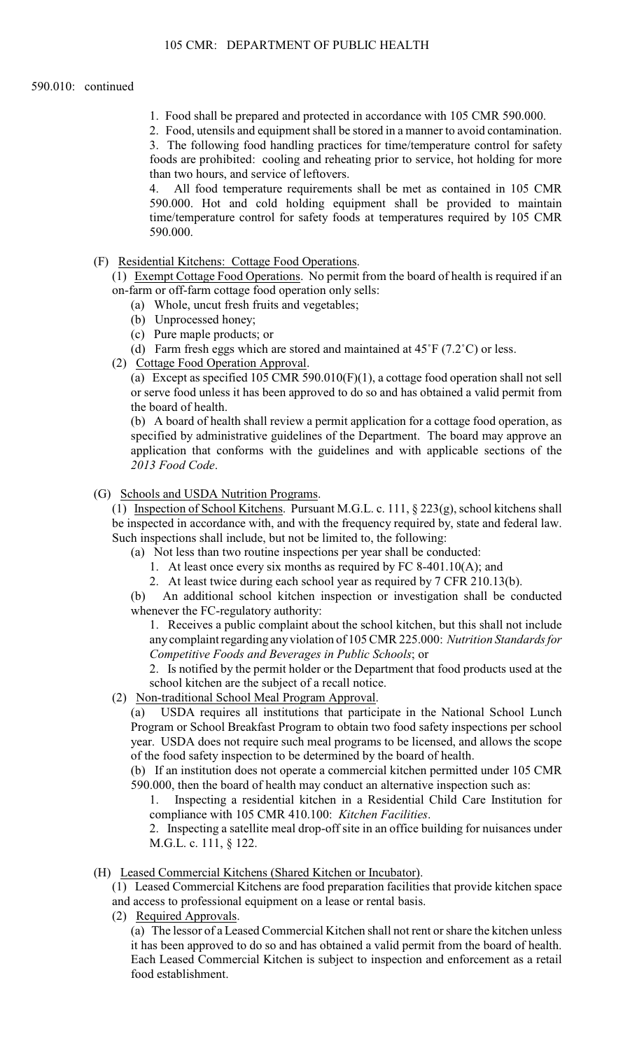1. Food shall be prepared and protected in accordance with 105 CMR 590.000.

2. Food, utensils and equipment shall be stored in a manner to avoid contamination.

3. The following food handling practices for time/temperature control for safety foods are prohibited: cooling and reheating prior to service, hot holding for more than two hours, and service of leftovers.

4. All food temperature requirements shall be met as contained in 105 CMR 590.000. Hot and cold holding equipment shall be provided to maintain time/temperature control for safety foods at temperatures required by 105 CMR 590.000.

(F) Residential Kitchens: Cottage Food Operations.

(1) Exempt Cottage Food Operations. No permit from the board of health is required if an on-farm or off-farm cottage food operation only sells:

- (a) Whole, uncut fresh fruits and vegetables;
- (b) Unprocessed honey;
- (c) Pure maple products; or
- (d) Farm fresh eggs which are stored and maintained at  $45^{\circ}F (7.2^{\circ}C)$  or less.
- (2) Cottage Food Operation Approval.

(a) Except as specified 105 CMR 590.010(F)(1), a cottage food operation shall not sell or serve food unless it has been approved to do so and has obtained a valid permit from the board of health.

(b) A board of health shall review a permit application for a cottage food operation, as specified by administrative guidelines of the Department. The board may approve an application that conforms with the guidelines and with applicable sections of the *2013 Food Code*.

(G) Schools and USDA Nutrition Programs.

(1) Inspection of School Kitchens. Pursuant M.G.L. c. 111, § 223(g), school kitchens shall be inspected in accordance with, and with the frequency required by, state and federal law. Such inspections shall include, but not be limited to, the following:

- (a) Not less than two routine inspections per year shall be conducted:
	- 1. At least once every six months as required by FC 8-401.10(A); and

2. At least twice during each school year as required by 7 CFR 210.13(b).

(b) An additional school kitchen inspection or investigation shall be conducted whenever the FC-regulatory authority:

 1. Receives a public complaint about the school kitchen, but this shall not include anycomplaint regarding anyviolation of 105 CMR 225.000: *Nutrition Standards for Competitive Foods and Beverages in Public Schools*; or

2. Is notified by the permit holder or the Department that food products used at the school kitchen are the subject of a recall notice.

(2) Non-traditional School Meal Program Approval.

 $(a)$ USDA requires all institutions that participate in the National School Lunch Program or School Breakfast Program to obtain two food safety inspections per school year. USDA does not require such meal programs to be licensed, and allows the scope of the food safety inspection to be determined by the board of health.

(b) If an institution does not operate a commercial kitchen permitted under 105 CMR 590.000, then the board of health may conduct an alternative inspection such as:

1. Inspecting a residential kitchen in a Residential Child Care Institution for compliance with 105 CMR 410.100: *Kitchen Facilities*.

 2. Inspecting a satellite meal drop-off site in an office building for nuisances under M.G.L. c. 111, § 122.

(H) Leased Commercial Kitchens (Shared Kitchen or Incubator).

(1) Leased Commercial Kitchens are food preparation facilities that provide kitchen space

- and access to professional equipment on a lease or rental basis.
- (2) Required Approvals.

(a) The lessor of a Leased Commercial Kitchen shall not rent or share the kitchen unless it has been approved to do so and has obtained a valid permit from the board of health. Each Leased Commercial Kitchen is subject to inspection and enforcement as a retail food establishment.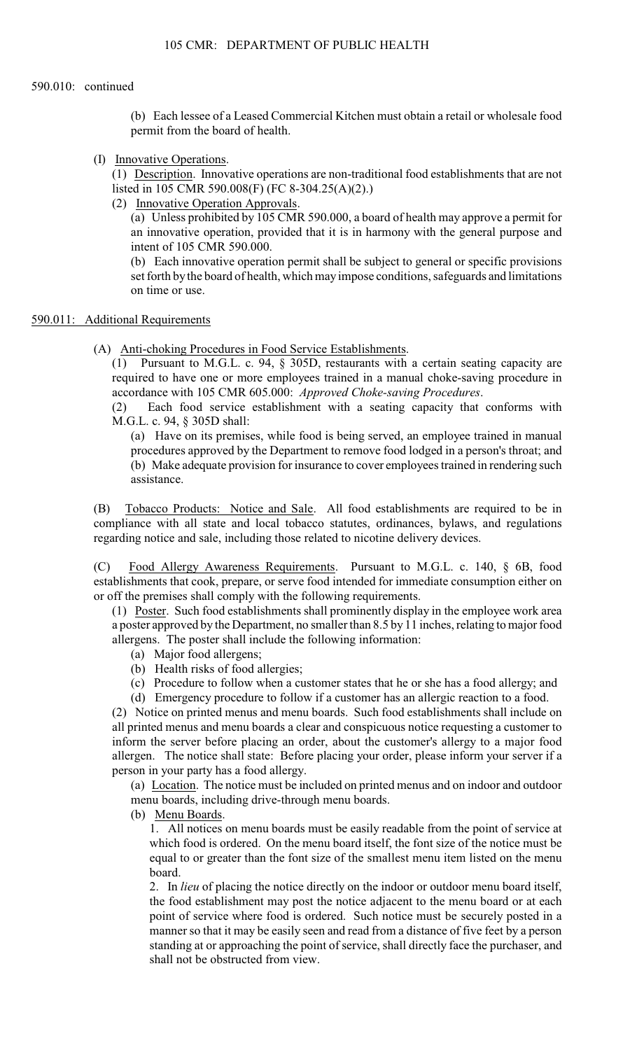(b) Each lessee of a Leased Commercial Kitchen must obtain a retail or wholesale food permit from the board of health.

(I) Innovative Operations.

(1) Description. Innovative operations are non-traditional food establishments that are not listed in 105 CMR 590.008(F) (FC 8-304.25(A)(2).)

(2) Innovative Operation Approvals.

 an innovative operation, provided that it is in harmony with the general purpose and (a) Unless prohibited by 105 CMR 590.000, a board of health may approve a permit for intent of 105 CMR 590.000.

(b) Each innovative operation permit shall be subject to general or specific provisions set forth by the board of health, which may impose conditions, safeguards and limitations on time or use.

### 590.011: Additional Requirements

(A) Anti-choking Procedures in Food Service Establishments.

(1) Pursuant to M.G.L. c. 94, § 305D, restaurants with a certain seating capacity are required to have one or more employees trained in a manual choke-saving procedure in accordance with 105 CMR 605.000: *Approved Choke-saving Procedures*.

(2) Each food service establishment with a seating capacity that conforms with M.G.L. c. 94, § 305D shall:

(a) Have on its premises, while food is being served, an employee trained in manual procedures approved by the Department to remove food lodged in a person's throat; and (b) Make adequate provision for insurance to cover employees trained in rendering such assistance.

(B) Tobacco Products: Notice and Sale. All food establishments are required to be in compliance with all state and local tobacco statutes, ordinances, bylaws, and regulations regarding notice and sale, including those related to nicotine delivery devices.

(C) Food Allergy Awareness Requirements. Pursuant to M.G.L. c. 140, § 6B, food establishments that cook, prepare, or serve food intended for immediate consumption either on or off the premises shall comply with the following requirements.

 (1) Poster. Such food establishments shall prominently display in the employee work area a poster approved by the Department, no smaller than 8.5 by 11 inches, relating to major food allergens. The poster shall include the following information:

- (a) Major food allergens;
- (b) Health risks of food allergies;
- (c) Procedure to follow when a customer states that he or she has a food allergy; and
- (d) Emergency procedure to follow if a customer has an allergic reaction to a food.

 all printed menus and menu boards a clear and conspicuous notice requesting a customer to (2) Notice on printed menus and menu boards. Such food establishments shall include on inform the server before placing an order, about the customer's allergy to a major food allergen. The notice shall state: Before placing your order, please inform your server if a person in your party has a food allergy.

 (a) Location. The notice must be included on printed menus and on indoor and outdoor menu boards, including drive-through menu boards.

(b) Menu Boards.

1. All notices on menu boards must be easily readable from the point of service at which food is ordered. On the menu board itself, the font size of the notice must be equal to or greater than the font size of the smallest menu item listed on the menu board.

2. In *lieu* of placing the notice directly on the indoor or outdoor menu board itself, the food establishment may post the notice adjacent to the menu board or at each point of service where food is ordered. Such notice must be securely posted in a manner so that it may be easily seen and read from a distance of five feet by a person standing at or approaching the point of service, shall directly face the purchaser, and shall not be obstructed from view.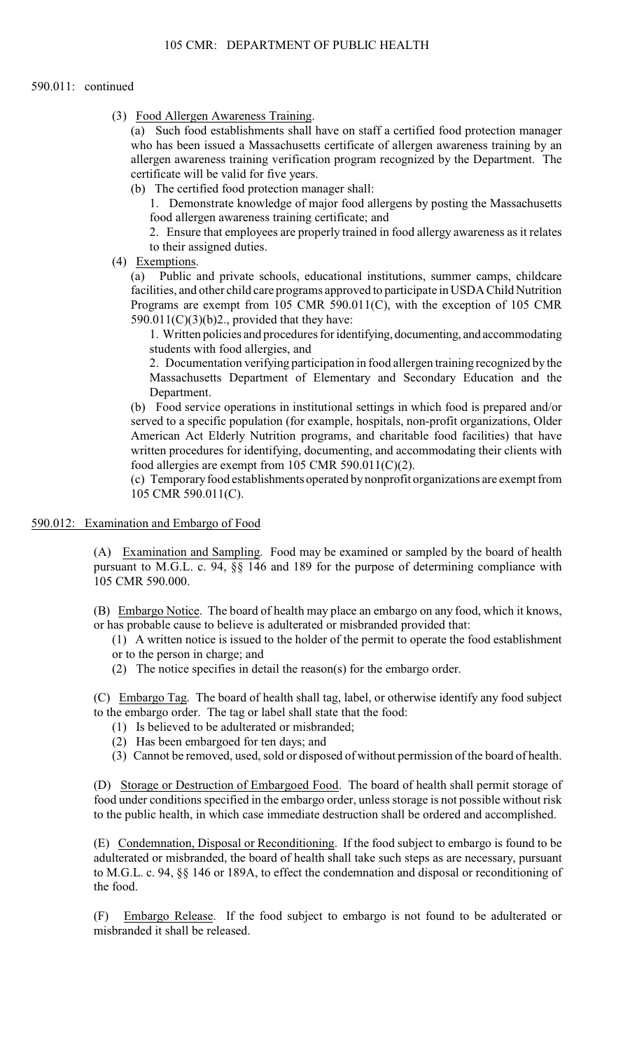#### 590.011: continued

(3) Food Allergen Awareness Training.

(a) Such food establishments shall have on staff a certified food protection manager who has been issued a Massachusetts certificate of allergen awareness training by an allergen awareness training verification program recognized by the Department. The certificate will be valid for five years.

(b) The certified food protection manager shall:

1. Demonstrate knowledge of major food allergens by posting the Massachusetts food allergen awareness training certificate; and

2. Ensure that employees are properly trained in food allergy awareness as it relates to their assigned duties.

(4) Exemptions.

(a) Public and private schools, educational institutions, summer camps, childcare facilities, and other child care programs approved to participate in USDA Child Nutrition Programs are exempt from 105 CMR 590.011(C), with the exception of 105 CMR  $590.011(C)(3)(b)2$ ., provided that they have:

1. Written policies and procedures for identifying, documenting, and accommodating students with food allergies, and

2. Documentation verifying participation in food allergen training recognized by the Massachusetts Department of Elementary and Secondary Education and the Department.

(b) Food service operations in institutional settings in which food is prepared and/or served to a specific population (for example, hospitals, non-profit organizations, Older American Act Elderly Nutrition programs, and charitable food facilities) that have written procedures for identifying, documenting, and accommodating their clients with food allergies are exempt from 105 CMR 590.011(C)(2).

(c) Temporary food establishments operated by nonprofit organizations are exempt from 105 CMR 590.011(C).

590.012: Examination and Embargo of Food

 (A) Examination and Sampling. Food may be examined or sampled by the board of health pursuant to M.G.L. c. 94, §§ 146 and 189 for the purpose of determining compliance with 105 CMR 590.000.

(B) Embargo Notice. The board of health may place an embargo on any food, which it knows, or has probable cause to believe is adulterated or misbranded provided that:

(1) A written notice is issued to the holder of the permit to operate the food establishment or to the person in charge; and

(2) The notice specifies in detail the reason(s) for the embargo order.

(C) Embargo Tag. The board of health shall tag, label, or otherwise identify any food subject to the embargo order. The tag or label shall state that the food:

- (1) Is believed to be adulterated or misbranded;
- (2) Has been embargoed for ten days; and
- (3) Cannot be removed, used, sold or disposed of without permission of the board of health.

(D) Storage or Destruction of Embargoed Food. The board of health shall permit storage of food under conditions specified in the embargo order, unless storage is not possible without risk to the public health, in which case immediate destruction shall be ordered and accomplished.

(E) Condemnation, Disposal or Reconditioning. If the food subject to embargo is found to be adulterated or misbranded, the board of health shall take such steps as are necessary, pursuant to M.G.L. c. 94, §§ 146 or 189A, to effect the condemnation and disposal or reconditioning of the food.

(F) Embargo Release. If the food subject to embargo is not found to be adulterated or misbranded it shall be released.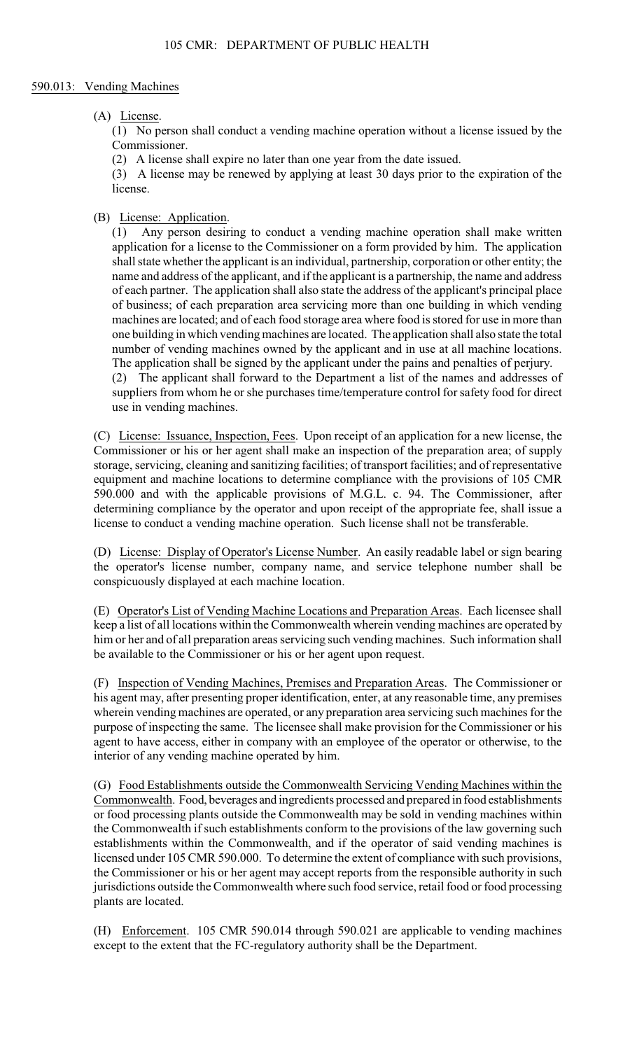### 590.013: Vending Machines

### (A) License.

(1) No person shall conduct a vending machine operation without a license issued by the Commissioner.

(2) A license shall expire no later than one year from the date issued.

(3) A license may be renewed by applying at least 30 days prior to the expiration of the license.

## (B) License: Application.

(1) Any person desiring to conduct a vending machine operation shall make written application for a license to the Commissioner on a form provided by him. The application shall state whether the applicant is an individual, partnership, corporation or other entity; the name and address of the applicant, and if the applicant is a partnership, the name and address of each partner. The application shall also state the address of the applicant's principal place of business; of each preparation area servicing more than one building in which vending machines are located; and of each food storage area where food is stored for use in more than one building in which vending machines are located. The application shall also state the total number of vending machines owned by the applicant and in use at all machine locations. The application shall be signed by the applicant under the pains and penalties of perjury. (2) The applicant shall forward to the Department a list of the names and addresses of suppliers from whom he or she purchases time/temperature control for safety food for direct

use in vending machines. (C) License: Issuance, Inspection, Fees. Upon receipt of an application for a new license, the Commissioner or his or her agent shall make an inspection of the preparation area; of supply storage, servicing, cleaning and sanitizing facilities; of transport facilities; and of representative equipment and machine locations to determine compliance with the provisions of 105 CMR 590.000 and with the applicable provisions of M.G.L. c. 94. The Commissioner, after

 (D) License: Display of Operator's License Number. An easily readable label or sign bearing license to conduct a vending machine operation. Such license shall not be transferable. the operator's license number, company name, and service telephone number shall be conspicuously displayed at each machine location.

determining compliance by the operator and upon receipt of the appropriate fee, shall issue a

 (E) Operator's List of Vending Machine Locations and Preparation Areas. Each licensee shall him or her and of all preparation areas servicing such vending machines. Such information shall keep a list of all locations within the Commonwealth wherein vending machines are operated by be available to the Commissioner or his or her agent upon request.

 purpose of inspecting the same. The licensee shall make provision for the Commissioner or his (F) Inspection of Vending Machines, Premises and Preparation Areas. The Commissioner or his agent may, after presenting proper identification, enter, at any reasonable time, any premises wherein vending machines are operated, or any preparation area servicing such machines for the agent to have access, either in company with an employee of the operator or otherwise, to the interior of any vending machine operated by him.

 or food processing plants outside the Commonwealth may be sold in vending machines within (G) Food Establishments outside the Commonwealth Servicing Vending Machines within the Commonwealth. Food, beverages and ingredients processed and prepared in food establishments the Commonwealth if such establishments conform to the provisions of the law governing such establishments within the Commonwealth, and if the operator of said vending machines is licensed under 105 CMR 590.000. To determine the extent of compliance with such provisions, the Commissioner or his or her agent may accept reports from the responsible authority in such jurisdictions outside the Commonwealth where such food service, retail food or food processing plants are located.

(H) Enforcement. 105 CMR 590.014 through 590.021 are applicable to vending machines except to the extent that the FC-regulatory authority shall be the Department.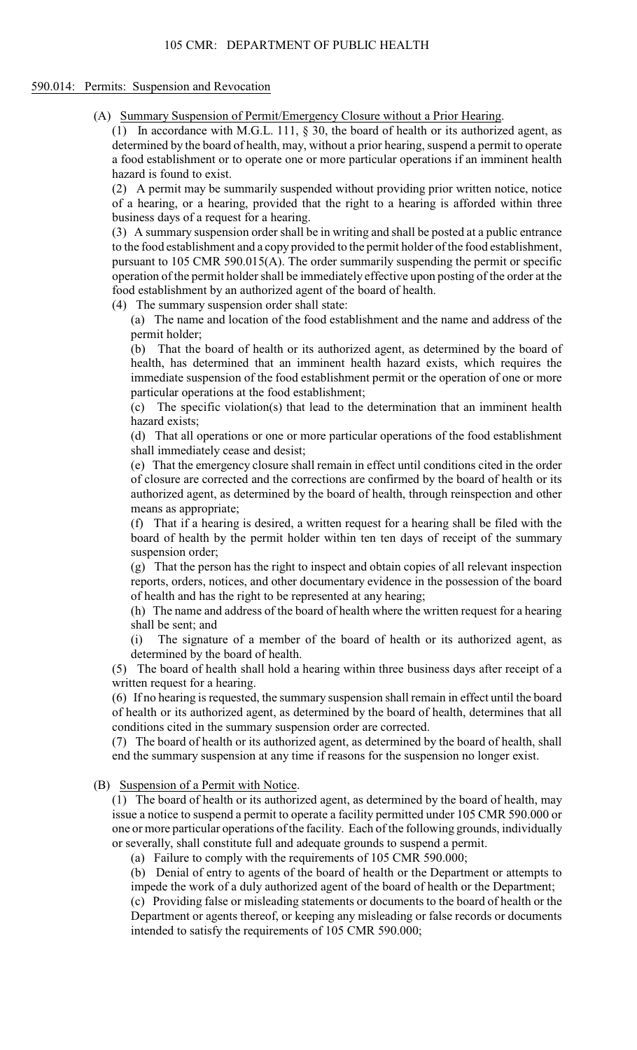#### 590.014: Permits: Suspension and Revocation

(A) Summary Suspension of Permit/Emergency Closure without a Prior Hearing.

(1) In accordance with M.G.L. 111,  $\S$  30, the board of health or its authorized agent, as determined by the board of health, may, without a prior hearing, suspend a permit to operate a food establishment or to operate one or more particular operations if an imminent health hazard is found to exist.

(2) A permit may be summarily suspended without providing prior written notice, notice of a hearing, or a hearing, provided that the right to a hearing is afforded within three business days of a request for a hearing.

 pursuant to 105 CMR 590.015(A). The order summarily suspending the permit or specific (3) A summary suspension order shall be in writing and shall be posted at a public entrance to the food establishment and a copy provided to the permit holder of the food establishment, operation of the permit holder shall be immediately effective upon posting of the order at the food establishment by an authorized agent of the board of health.

(4) The summary suspension order shall state:

(a) The name and location of the food establishment and the name and address of the permit holder;

 (b) That the board of health or its authorized agent, as determined by the board of health, has determined that an imminent health hazard exists, which requires the immediate suspension of the food establishment permit or the operation of one or more particular operations at the food establishment;

(c) The specific violation(s) that lead to the determination that an imminent health hazard exists;

(d) That all operations or one or more particular operations of the food establishment shall immediately cease and desist;

(e) That the emergency closure shall remain in effect until conditions cited in the order of closure are corrected and the corrections are confirmed by the board of health or its authorized agent, as determined by the board of health, through reinspection and other means as appropriate;

(f) That if a hearing is desired, a written request for a hearing shall be filed with the board of health by the permit holder within ten ten days of receipt of the summary suspension order;

(g) That the person has the right to inspect and obtain copies of all relevant inspection reports, orders, notices, and other documentary evidence in the possession of the board of health and has the right to be represented at any hearing;

(h) The name and address of the board of health where the written request for a hearing shall be sent; and

(i) The signature of a member of the board of health or its authorized agent, as determined by the board of health.

 (5) The board of health shall hold a hearing within three business days after receipt of a written request for a hearing.

(6) If no hearing is requested, the summary suspension shall remain in effect until the board of health or its authorized agent, as determined by the board of health, determines that all conditions cited in the summary suspension order are corrected.

 (7) The board of health or its authorized agent, as determined by the board of health, shall end the summary suspension at any time if reasons for the suspension no longer exist.

(B) Suspension of a Permit with Notice.

 (1) The board of health or its authorized agent, as determined by the board of health, may one or more particular operations of the facility. Each of the following grounds, individually issue a notice to suspend a permit to operate a facility permitted under 105 CMR 590.000 or or severally, shall constitute full and adequate grounds to suspend a permit.

(a) Failure to comply with the requirements of 105 CMR 590.000;

(b) Denial of entry to agents of the board of health or the Department or attempts to impede the work of a duly authorized agent of the board of health or the Department;

 (c) Providing false or misleading statements or documents to the board of health or the Department or agents thereof, or keeping any misleading or false records or documents intended to satisfy the requirements of 105 CMR 590.000;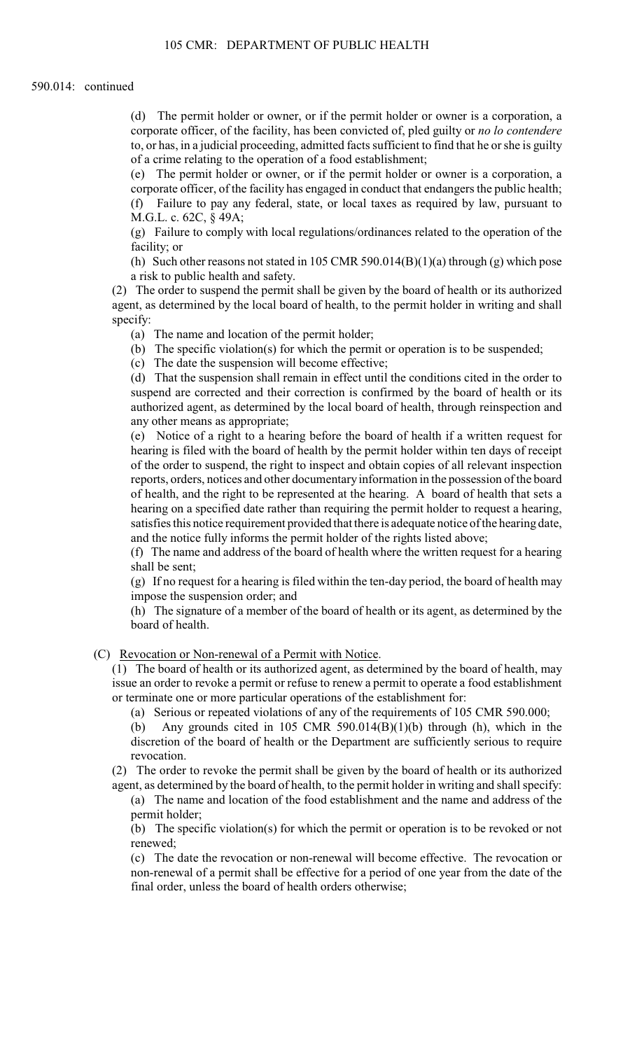(d) The permit holder or owner, or if the permit holder or owner is a corporation, a corporate officer, of the facility, has been convicted of, pled guilty or *no lo contendere*  to, or has, in a judicial proceeding, admitted facts sufficient to find that he or she is guilty of a crime relating to the operation of a food establishment;

(e) The permit holder or owner, or if the permit holder or owner is a corporation, a corporate officer, of the facility has engaged in conduct that endangers the public health; (f) Failure to pay any federal, state, or local taxes as required by law, pursuant to M.G.L. c. 62C, § 49A;

(g) Failure to comply with local regulations/ordinances related to the operation of the facility; or

(h) Such other reasons not stated in 105 CMR 590.014(B)(1)(a) through (g) which pose a risk to public health and safety.

(2) The order to suspend the permit shall be given by the board of health or its authorized agent, as determined by the local board of health, to the permit holder in writing and shall specify:

(a) The name and location of the permit holder;

(b) The specific violation(s) for which the permit or operation is to be suspended;

(c) The date the suspension will become effective;

 (d) That the suspension shall remain in effect until the conditions cited in the order to suspend are corrected and their correction is confirmed by the board of health or its authorized agent, as determined by the local board of health, through reinspection and any other means as appropriate;

 of health, and the right to be represented at the hearing. A board of health that sets a hearing on a specified date rather than requiring the permit holder to request a hearing, (e) Notice of a right to a hearing before the board of health if a written request for hearing is filed with the board of health by the permit holder within ten days of receipt of the order to suspend, the right to inspect and obtain copies of all relevant inspection reports, orders, notices and other documentary information in the possession of the board satisfies this notice requirement provided that there is adequate notice of the hearing date, and the notice fully informs the permit holder of the rights listed above;

 (f) The name and address of the board of health where the written request for a hearing shall be sent;

(g) If no request for a hearing is filed within the ten-day period, the board of health may impose the suspension order; and

(h) The signature of a member of the board of health or its agent, as determined by the board of health.

(C) Revocation or Non-renewal of a Permit with Notice.

(1) The board of health or its authorized agent, as determined by the board of health, may issue an order to revoke a permit or refuse to renew a permit to operate a food establishment or terminate one or more particular operations of the establishment for:

(a) Serious or repeated violations of any of the requirements of 105 CMR 590.000;

(b) Any grounds cited in 105 CMR 590.014(B)(1)(b) through (h), which in the discretion of the board of health or the Department are sufficiently serious to require revocation.

 (2) The order to revoke the permit shall be given by the board of health or its authorized agent, as determined by the board of health, to the permit holder in writing and shall specify:

(a) The name and location of the food establishment and the name and address of the permit holder;

 (b) The specific violation(s) for which the permit or operation is to be revoked or not renewed;

(c) The date the revocation or non-renewal will become effective. The revocation or non-renewal of a permit shall be effective for a period of one year from the date of the final order, unless the board of health orders otherwise;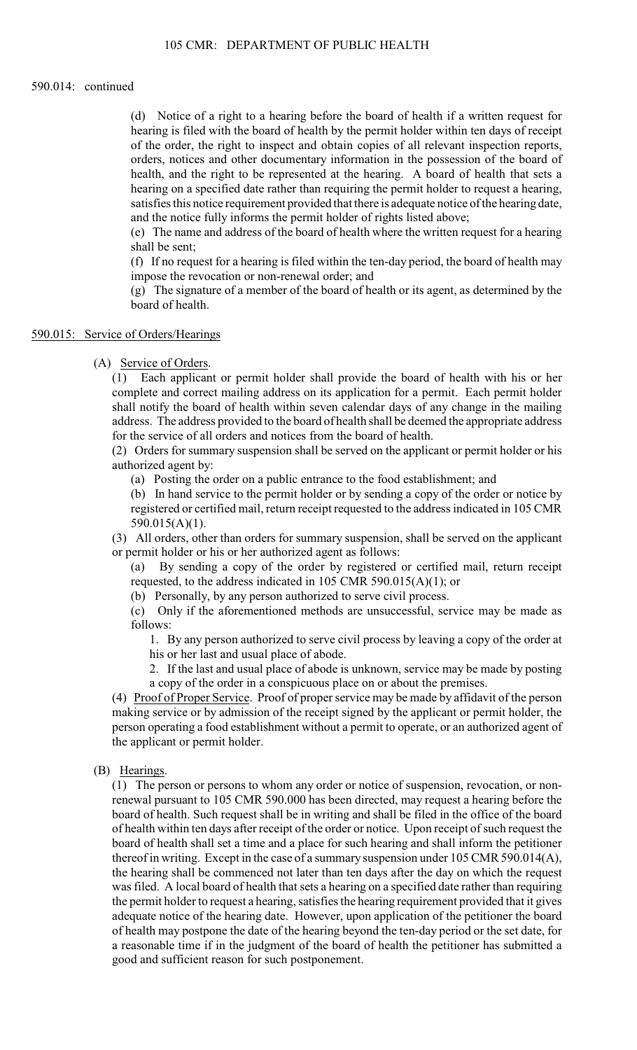#### 590.014: continued

 hearing on a specified date rather than requiring the permit holder to request a hearing, (d) Notice of a right to a hearing before the board of health if a written request for hearing is filed with the board of health by the permit holder within ten days of receipt of the order, the right to inspect and obtain copies of all relevant inspection reports, orders, notices and other documentary information in the possession of the board of health, and the right to be represented at the hearing. A board of health that sets a satisfies this notice requirement provided that there is adequate notice of the hearing date, and the notice fully informs the permit holder of rights listed above;

(e) The name and address of the board of health where the written request for a hearing shall be sent;

(f) If no request for a hearing is filed within the ten-day period, the board of health may impose the revocation or non-renewal order; and

(g) The signature of a member of the board of health or its agent, as determined by the board of health.

#### 590.015: Service of Orders/Hearings

(A) Service of Orders.

 address. The address provided to the board of health shall be deemed the appropriate address (1) Each applicant or permit holder shall provide the board of health with his or her complete and correct mailing address on its application for a permit. Each permit holder shall notify the board of health within seven calendar days of any change in the mailing for the service of all orders and notices from the board of health.

(2) Orders for summary suspension shall be served on the applicant or permit holder or his authorized agent by:

(a) Posting the order on a public entrance to the food establishment; and

(b) In hand service to the permit holder or by sending a copy of the order or notice by registered or certified mail, return receipt requested to the address indicated in 105 CMR 590.015(A)(1).

(3) All orders, other than orders for summary suspension, shall be served on the applicant or permit holder or his or her authorized agent as follows:

(a) By sending a copy of the order by registered or certified mail, return receipt requested, to the address indicated in 105 CMR 590.015(A)(1); or

(b) Personally, by any person authorized to serve civil process.

(c) Only if the aforementioned methods are unsuccessful, service may be made as follows:

 1. By any person authorized to serve civil process by leaving a copy of the order at his or her last and usual place of abode.

2. If the last and usual place of abode is unknown, service may be made by posting a copy of the order in a conspicuous place on or about the premises.

(4) Proof of Proper Service. Proof of proper service may be made by affidavit of the person making service or by admission of the receipt signed by the applicant or permit holder, the person operating a food establishment without a permit to operate, or an authorized agent of the applicant or permit holder.

### (B) Hearings.

 (1) The person or persons to whom any order or notice of suspension, revocation, or non- the hearing shall be commenced not later than ten days after the day on which the request renewal pursuant to 105 CMR 590.000 has been directed, may request a hearing before the board of health. Such request shall be in writing and shall be filed in the office of the board of health within ten days after receipt of the order or notice. Upon receipt of such request the board of health shall set a time and a place for such hearing and shall inform the petitioner thereof in writing. Except in the case of a summary suspension under 105 CMR 590.014(A), was filed. A local board of health that sets a hearing on a specified date rather than requiring the permit holder to request a hearing, satisfies the hearing requirement provided that it gives adequate notice of the hearing date. However, upon application of the petitioner the board of health may postpone the date of the hearing beyond the ten-day period or the set date, for a reasonable time if in the judgment of the board of health the petitioner has submitted a good and sufficient reason for such postponement.